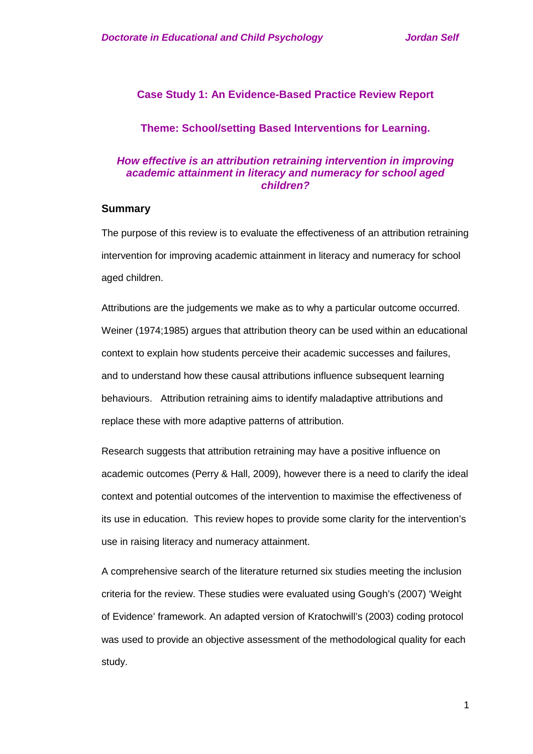# **Case Study 1: An Evidence-Based Practice Review Report**

## **Theme: School/setting Based Interventions for Learning.**

## *How effective is an attribution retraining intervention in improving academic attainment in literacy and numeracy for school aged children?*

## **Summary**

The purpose of this review is to evaluate the effectiveness of an attribution retraining intervention for improving academic attainment in literacy and numeracy for school aged children.

Attributions are the judgements we make as to why a particular outcome occurred. Weiner (1974;1985) argues that attribution theory can be used within an educational context to explain how students perceive their academic successes and failures, and to understand how these causal attributions influence subsequent learning behaviours. Attribution retraining aims to identify maladaptive attributions and replace these with more adaptive patterns of attribution.

Research suggests that attribution retraining may have a positive influence on academic outcomes (Perry & Hall, 2009), however there is a need to clarify the ideal context and potential outcomes of the intervention to maximise the effectiveness of its use in education. This review hopes to provide some clarity for the intervention's use in raising literacy and numeracy attainment.

A comprehensive search of the literature returned six studies meeting the inclusion criteria for the review. These studies were evaluated using Gough's (2007) 'Weight of Evidence' framework. An adapted version of Kratochwill's (2003) coding protocol was used to provide an objective assessment of the methodological quality for each study.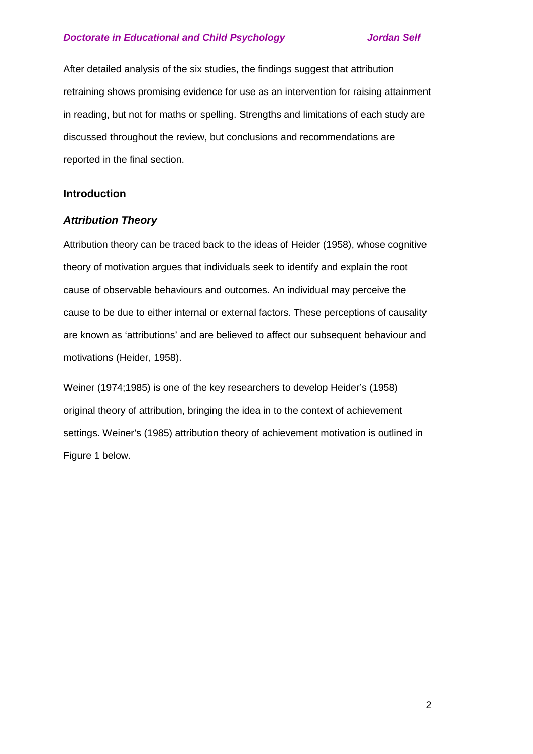After detailed analysis of the six studies, the findings suggest that attribution retraining shows promising evidence for use as an intervention for raising attainment in reading, but not for maths or spelling. Strengths and limitations of each study are discussed throughout the review, but conclusions and recommendations are reported in the final section.

## **Introduction**

## *Attribution Theory*

Attribution theory can be traced back to the ideas of Heider (1958), whose cognitive theory of motivation argues that individuals seek to identify and explain the root cause of observable behaviours and outcomes. An individual may perceive the cause to be due to either internal or external factors. These perceptions of causality are known as 'attributions' and are believed to affect our subsequent behaviour and motivations (Heider, 1958).

Weiner (1974;1985) is one of the key researchers to develop Heider's (1958) original theory of attribution, bringing the idea in to the context of achievement settings. Weiner's (1985) attribution theory of achievement motivation is outlined in Figure 1 below.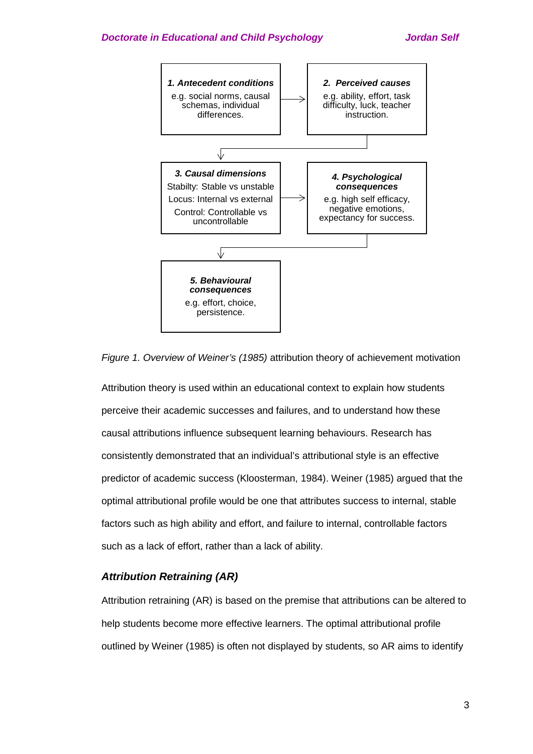

*Figure 1. Overview of Weiner's (1985)* attribution theory of achievement motivation

Attribution theory is used within an educational context to explain how students perceive their academic successes and failures, and to understand how these causal attributions influence subsequent learning behaviours. Research has consistently demonstrated that an individual's attributional style is an effective predictor of academic success (Kloosterman, 1984). Weiner (1985) argued that the optimal attributional profile would be one that attributes success to internal, stable factors such as high ability and effort, and failure to internal, controllable factors such as a lack of effort, rather than a lack of ability.

## *Attribution Retraining (AR)*

Attribution retraining (AR) is based on the premise that attributions can be altered to help students become more effective learners. The optimal attributional profile outlined by Weiner (1985) is often not displayed by students, so AR aims to identify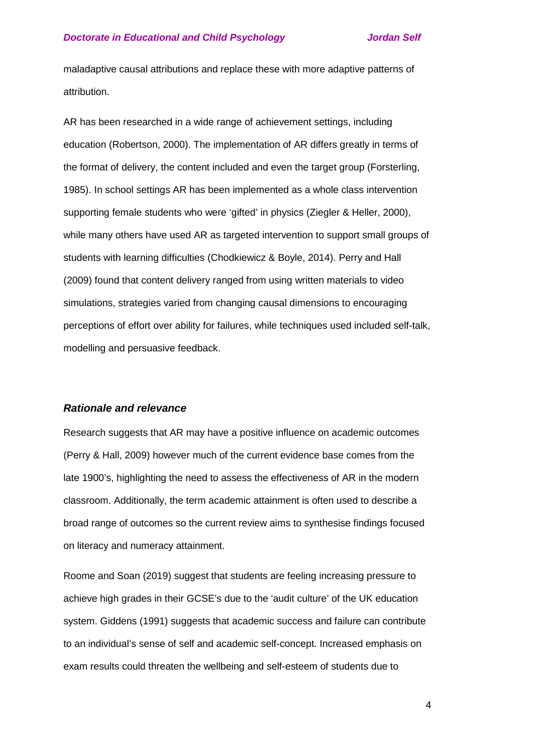maladaptive causal attributions and replace these with more adaptive patterns of attribution.

AR has been researched in a wide range of achievement settings, including education (Robertson, 2000). The implementation of AR differs greatly in terms of the format of delivery, the content included and even the target group (Forsterling, 1985). In school settings AR has been implemented as a whole class intervention supporting female students who were 'gifted' in physics (Ziegler & Heller, 2000), while many others have used AR as targeted intervention to support small groups of students with learning difficulties (Chodkiewicz & Boyle, 2014). Perry and Hall (2009) found that content delivery ranged from using written materials to video simulations, strategies varied from changing causal dimensions to encouraging perceptions of effort over ability for failures, while techniques used included self-talk, modelling and persuasive feedback.

## *Rationale and relevance*

Research suggests that AR may have a positive influence on academic outcomes (Perry & Hall, 2009) however much of the current evidence base comes from the late 1900's, highlighting the need to assess the effectiveness of AR in the modern classroom. Additionally, the term academic attainment is often used to describe a broad range of outcomes so the current review aims to synthesise findings focused on literacy and numeracy attainment.

Roome and Soan (2019) suggest that students are feeling increasing pressure to achieve high grades in their GCSE's due to the 'audit culture' of the UK education system. Giddens (1991) suggests that academic success and failure can contribute to an individual's sense of self and academic self-concept. Increased emphasis on exam results could threaten the wellbeing and self-esteem of students due to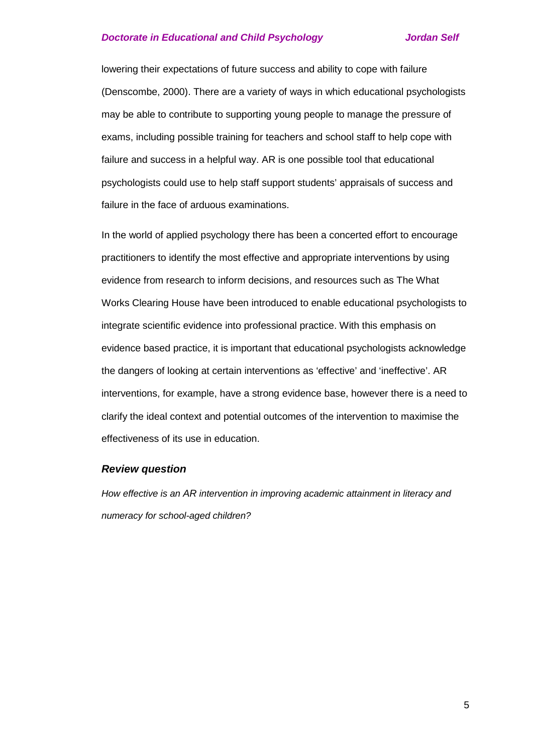lowering their expectations of future success and ability to cope with failure (Denscombe, 2000). There are a variety of ways in which educational psychologists may be able to contribute to supporting young people to manage the pressure of exams, including possible training for teachers and school staff to help cope with failure and success in a helpful way. AR is one possible tool that educational psychologists could use to help staff support students' appraisals of success and failure in the face of arduous examinations.

In the world of applied psychology there has been a concerted effort to encourage practitioners to identify the most effective and appropriate interventions by using evidence from research to inform decisions, and resources such as The What Works Clearing House have been introduced to enable educational psychologists to integrate scientific evidence into professional practice. With this emphasis on evidence based practice, it is important that educational psychologists acknowledge the dangers of looking at certain interventions as 'effective' and 'ineffective'. AR interventions, for example, have a strong evidence base, however there is a need to clarify the ideal context and potential outcomes of the intervention to maximise the effectiveness of its use in education.

## *Review question*

*How effective is an AR intervention in improving academic attainment in literacy and numeracy for school-aged children?*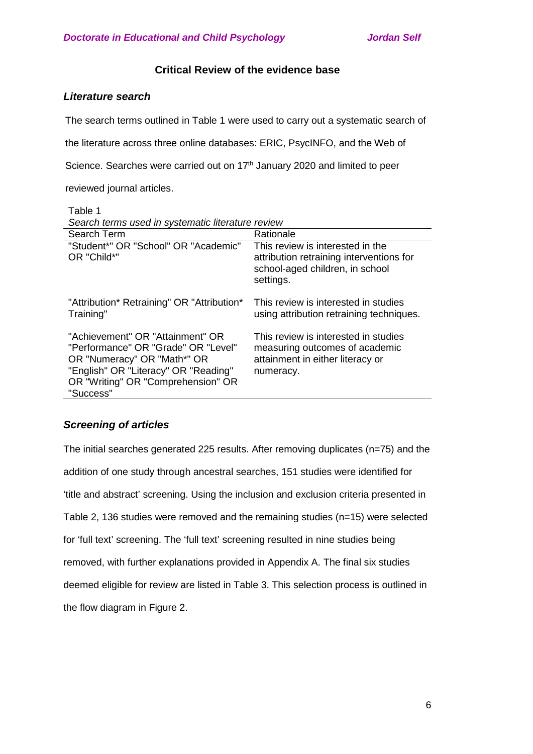# **Critical Review of the evidence base**

# *Literature search*

The search terms outlined in Table 1 were used to carry out a systematic search of

the literature across three online databases: ERIC, PsycINFO, and the Web of

Science. Searches were carried out on 17<sup>th</sup> January 2020 and limited to peer

reviewed journal articles.

Table 1 *Search terms used in systematic literature review*

| Search Term                                                                                                                                                                                       | Rationale                                                                                                                    |
|---------------------------------------------------------------------------------------------------------------------------------------------------------------------------------------------------|------------------------------------------------------------------------------------------------------------------------------|
| "Student*" OR "School" OR "Academic"<br>OR "Child*"                                                                                                                                               | This review is interested in the<br>attribution retraining interventions for<br>school-aged children, in school<br>settings. |
| "Attribution* Retraining" OR "Attribution*<br>Training"                                                                                                                                           | This review is interested in studies<br>using attribution retraining techniques.                                             |
| "Achievement" OR "Attainment" OR<br>"Performance" OR "Grade" OR "Level"<br>OR "Numeracy" OR "Math*" OR<br>"English" OR "Literacy" OR "Reading"<br>OR "Writing" OR "Comprehension" OR<br>"Success" | This review is interested in studies<br>measuring outcomes of academic<br>attainment in either literacy or<br>numeracy.      |

# *Screening of articles*

The initial searches generated 225 results. After removing duplicates (n=75) and the addition of one study through ancestral searches, 151 studies were identified for 'title and abstract' screening. Using the inclusion and exclusion criteria presented in Table 2, 136 studies were removed and the remaining studies (n=15) were selected for 'full text' screening. The 'full text' screening resulted in nine studies being removed, with further explanations provided in Appendix A. The final six studies deemed eligible for review are listed in Table 3. This selection process is outlined in the flow diagram in Figure 2.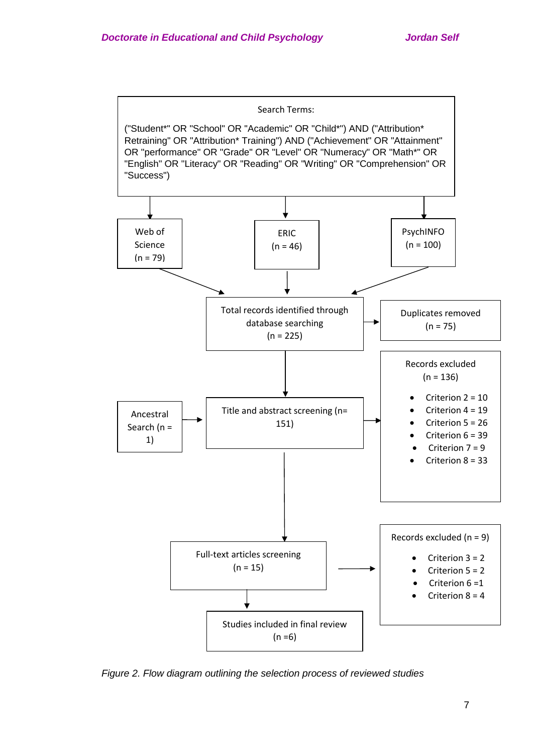

*Figure 2. Flow diagram outlining the selection process of reviewed studies*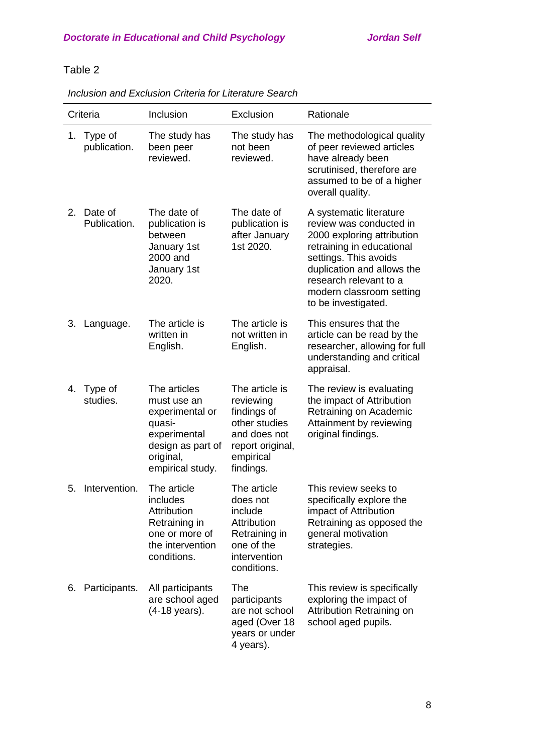|    | Criteria                | Inclusion                                                                                                                      | Exclusion                                                                                                                 | Rationale                                                                                                                                                                                                                                         |
|----|-------------------------|--------------------------------------------------------------------------------------------------------------------------------|---------------------------------------------------------------------------------------------------------------------------|---------------------------------------------------------------------------------------------------------------------------------------------------------------------------------------------------------------------------------------------------|
| 1. | Type of<br>publication. | The study has<br>been peer<br>reviewed.                                                                                        | The study has<br>not been<br>reviewed.                                                                                    | The methodological quality<br>of peer reviewed articles<br>have already been<br>scrutinised, therefore are<br>assumed to be of a higher<br>overall quality.                                                                                       |
| 2. | Date of<br>Publication. | The date of<br>publication is<br>between<br>January 1st<br>2000 and<br>January 1st<br>2020.                                    | The date of<br>publication is<br>after January<br>1st 2020.                                                               | A systematic literature<br>review was conducted in<br>2000 exploring attribution<br>retraining in educational<br>settings. This avoids<br>duplication and allows the<br>research relevant to a<br>modern classroom setting<br>to be investigated. |
| 3. | Language.               | The article is<br>written in<br>English.                                                                                       | The article is<br>not written in<br>English.                                                                              | This ensures that the<br>article can be read by the<br>researcher, allowing for full<br>understanding and critical<br>appraisal.                                                                                                                  |
| 4. | Type of<br>studies.     | The articles<br>must use an<br>experimental or<br>quasi-<br>experimental<br>design as part of<br>original,<br>empirical study. | The article is<br>reviewing<br>findings of<br>other studies<br>and does not<br>report original,<br>empirical<br>findings. | The review is evaluating<br>the impact of Attribution<br>Retraining on Academic<br>Attainment by reviewing<br>original findings.                                                                                                                  |
| 5. | Intervention.           | The article<br>includes<br>Attribution<br>Retraining in<br>one or more of<br>the intervention<br>conditions.                   | The article<br>does not<br>include<br>Attribution<br>Retraining in<br>one of the<br>intervention<br>conditions.           | This review seeks to<br>specifically explore the<br>impact of Attribution<br>Retraining as opposed the<br>general motivation<br>strategies.                                                                                                       |
|    | 6. Participants.        | All participants<br>are school aged<br>(4-18 years).                                                                           | The<br>participants<br>are not school<br>aged (Over 18<br>years or under<br>4 years).                                     | This review is specifically<br>exploring the impact of<br>Attribution Retraining on<br>school aged pupils.                                                                                                                                        |

*Inclusion and Exclusion Criteria for Literature Search*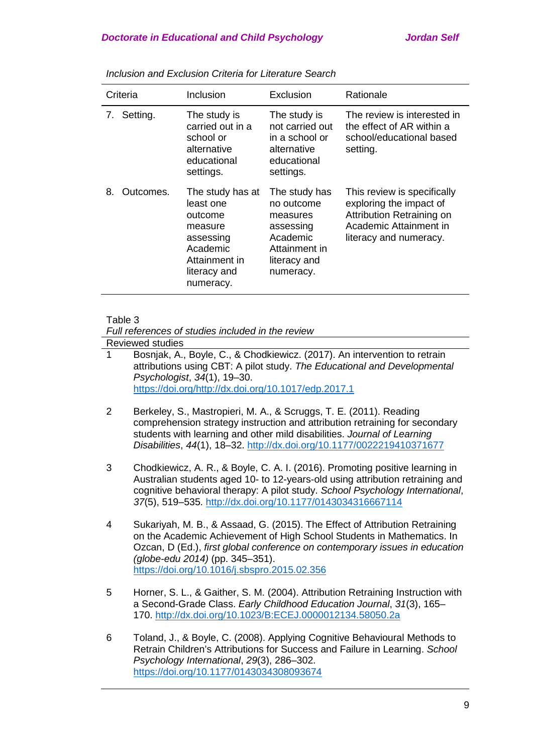| Criteria |             | Inclusion                                                                                                                  | Exclusion                                                                                                      | Rationale                                                                                                                               |  |
|----------|-------------|----------------------------------------------------------------------------------------------------------------------------|----------------------------------------------------------------------------------------------------------------|-----------------------------------------------------------------------------------------------------------------------------------------|--|
|          | 7. Setting. | The study is<br>carried out in a<br>school or<br>alternative<br>educational<br>settings.                                   | The study is<br>not carried out<br>in a school or<br>alternative<br>educational<br>settings.                   | The review is interested in<br>the effect of AR within a<br>school/educational based<br>setting.                                        |  |
| 8.       | Outcomes.   | The study has at<br>least one<br>outcome<br>measure<br>assessing<br>Academic<br>Attainment in<br>literacy and<br>numeracy. | The study has<br>no outcome<br>measures<br>assessing<br>Academic<br>Attainment in<br>literacy and<br>numeracy. | This review is specifically<br>exploring the impact of<br>Attribution Retraining on<br>Academic Attainment in<br>literacy and numeracy. |  |

*Inclusion and Exclusion Criteria for Literature Search*

## Table 3

*Full references of studies included in the review*

Reviewed studies

- 1 Bosnjak, A., Boyle, C., & Chodkiewicz. (2017). An intervention to retrain attributions using CBT: A pilot study. *The Educational and Developmental Psychologist*, *34*(1), 19–30. [https://doi.org/http://dx.doi.org/10.1017/edp.2017.1](https://doi.org/http:/dx.doi.org/10.1017/edp.2017.1)
- 2 Berkeley, S., Mastropieri, M. A., & Scruggs, T. E. (2011). Reading comprehension strategy instruction and attribution retraining for secondary students with learning and other mild disabilities. *Journal of Learning Disabilities*, *44*(1), 18–32.<http://dx.doi.org/10.1177/0022219410371677>
- 3 Chodkiewicz, A. R., & Boyle, C. A. I. (2016). Promoting positive learning in Australian students aged 10- to 12-years-old using attribution retraining and cognitive behavioral therapy: A pilot study. *School Psychology International*, *37*(5), 519–535.<http://dx.doi.org/10.1177/0143034316667114>
- 4 Sukariyah, M. B., & Assaad, G. (2015). The Effect of Attribution Retraining on the Academic Achievement of High School Students in Mathematics. In Ozcan, D (Ed.), *first global conference on contemporary issues in education (globe-edu 2014)* (pp. 345–351). <https://doi.org/10.1016/j.sbspro.2015.02.356>
- 5 Horner, S. L., & Gaither, S. M. (2004). Attribution Retraining Instruction with a Second-Grade Class. *Early Childhood Education Journal*, *31*(3), 165– 170.<http://dx.doi.org/10.1023/B:ECEJ.0000012134.58050.2a>
- 6 Toland, J., & Boyle, C. (2008). Applying Cognitive Behavioural Methods to Retrain Children's Attributions for Success and Failure in Learning. *School Psychology International*, *29*(3), 286–302. <https://doi.org/10.1177/0143034308093674>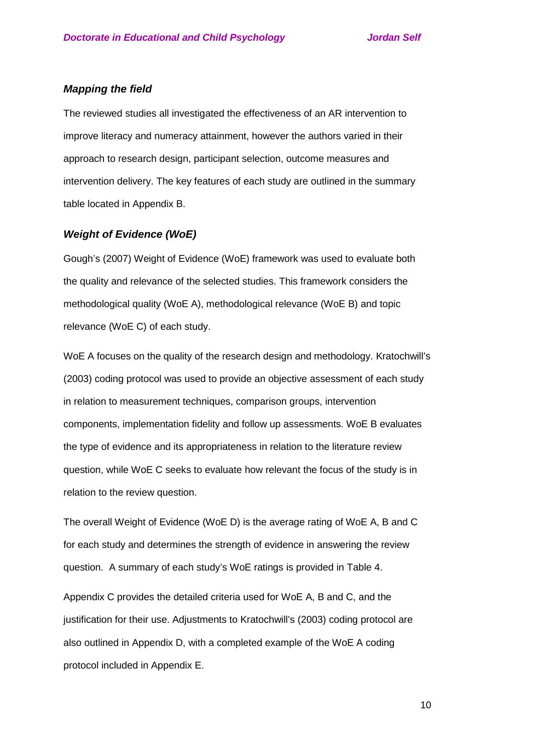# *Mapping the field*

The reviewed studies all investigated the effectiveness of an AR intervention to improve literacy and numeracy attainment, however the authors varied in their approach to research design, participant selection, outcome measures and intervention delivery. The key features of each study are outlined in the summary table located in Appendix B.

## *Weight of Evidence (WoE)*

Gough's (2007) Weight of Evidence (WoE) framework was used to evaluate both the quality and relevance of the selected studies. This framework considers the methodological quality (WoE A), methodological relevance (WoE B) and topic relevance (WoE C) of each study.

WoE A focuses on the quality of the research design and methodology. Kratochwill's (2003) coding protocol was used to provide an objective assessment of each study in relation to measurement techniques, comparison groups, intervention components, implementation fidelity and follow up assessments. WoE B evaluates the type of evidence and its appropriateness in relation to the literature review question, while WoE C seeks to evaluate how relevant the focus of the study is in relation to the review question.

The overall Weight of Evidence (WoE D) is the average rating of WoE A, B and C for each study and determines the strength of evidence in answering the review question. A summary of each study's WoE ratings is provided in Table 4.

Appendix C provides the detailed criteria used for WoE A, B and C, and the justification for their use. Adjustments to Kratochwill's (2003) coding protocol are also outlined in Appendix D, with a completed example of the WoE A coding protocol included in Appendix E.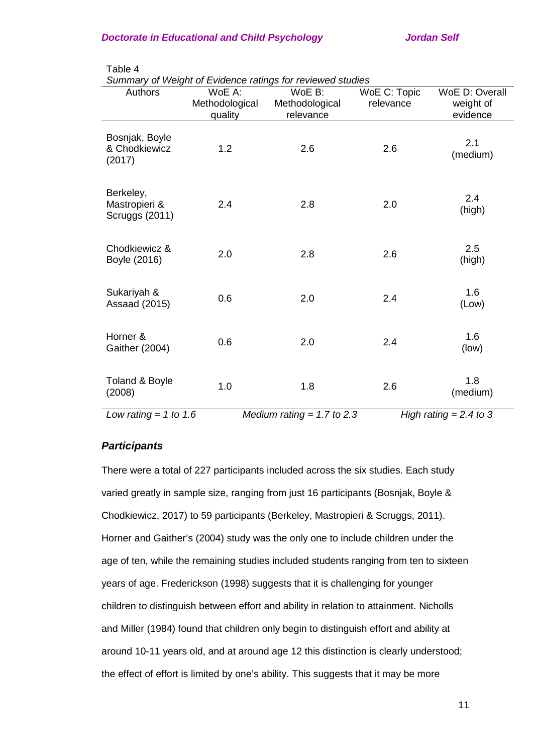| Authors                                      | WoE A:<br>Methodological | WoE B:<br>Methodological | WoE C: Topic<br>relevance | WoE D: Overall<br>weight of |
|----------------------------------------------|--------------------------|--------------------------|---------------------------|-----------------------------|
|                                              | quality                  | relevance                |                           | evidence                    |
| Bosnjak, Boyle<br>& Chodkiewicz<br>(2017)    | 1.2                      | 2.6                      | 2.6                       | 2.1<br>(medium)             |
| Berkeley,<br>Mastropieri &<br>Scruggs (2011) | 2.4                      | 2.8                      | 2.0                       | 2.4<br>(high)               |
| Chodkiewicz &<br>Boyle (2016)                | 2.0                      | 2.8                      | 2.6                       | 2.5<br>(high)               |
| Sukariyah &<br><b>Assaad (2015)</b>          | 0.6                      | 2.0                      | 2.4                       | 1.6<br>(Low)                |
| Horner &<br>Gaither (2004)                   | 0.6                      | 2.0                      | 2.4                       | 1.6<br>(low)                |
| Toland & Boyle<br>(2008)                     | 1.0                      | 1.8                      | 2.6                       | 1.8<br>(medium)             |

Table 4

*Summary of Weight of Evidence ratings for reviewed studies*

*Low rating = 1 to 1.6 Medium rating = 1.7 to 2.3 High rating = 2.4 to 3*

# *Participants*

There were a total of 227 participants included across the six studies. Each study varied greatly in sample size, ranging from just 16 participants (Bosnjak, Boyle & Chodkiewicz, 2017) to 59 participants (Berkeley, Mastropieri & Scruggs, 2011). Horner and Gaither's (2004) study was the only one to include children under the age of ten, while the remaining studies included students ranging from ten to sixteen years of age. Frederickson (1998) suggests that it is challenging for younger children to distinguish between effort and ability in relation to attainment. Nicholls and Miller (1984) found that children only begin to distinguish effort and ability at around 10-11 years old, and at around age 12 this distinction is clearly understood; the effect of effort is limited by one's ability. This suggests that it may be more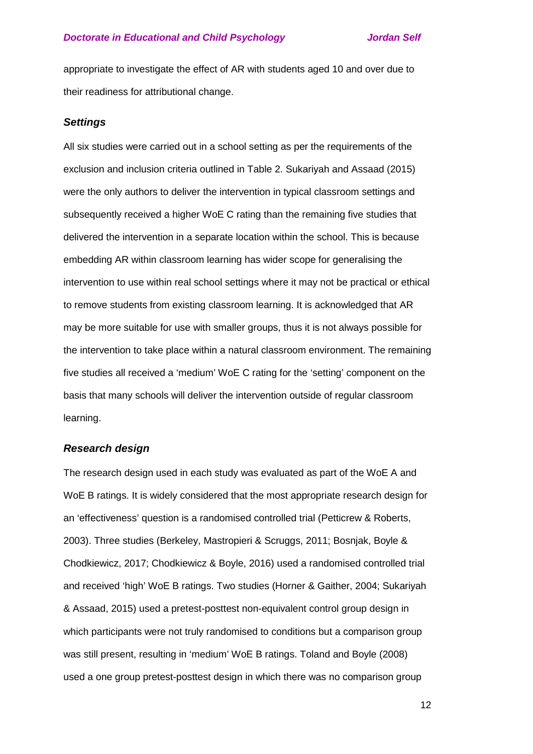appropriate to investigate the effect of AR with students aged 10 and over due to their readiness for attributional change.

## *Settings*

All six studies were carried out in a school setting as per the requirements of the exclusion and inclusion criteria outlined in Table 2. Sukariyah and Assaad (2015) were the only authors to deliver the intervention in typical classroom settings and subsequently received a higher WoE C rating than the remaining five studies that delivered the intervention in a separate location within the school. This is because embedding AR within classroom learning has wider scope for generalising the intervention to use within real school settings where it may not be practical or ethical to remove students from existing classroom learning. It is acknowledged that AR may be more suitable for use with smaller groups, thus it is not always possible for the intervention to take place within a natural classroom environment. The remaining five studies all received a 'medium' WoE C rating for the 'setting' component on the basis that many schools will deliver the intervention outside of regular classroom learning.

## *Research design*

The research design used in each study was evaluated as part of the WoE A and WoE B ratings. It is widely considered that the most appropriate research design for an 'effectiveness' question is a randomised controlled trial (Petticrew & Roberts, 2003). Three studies (Berkeley, Mastropieri & Scruggs, 2011; Bosnjak, Boyle & Chodkiewicz, 2017; Chodkiewicz & Boyle, 2016) used a randomised controlled trial and received 'high' WoE B ratings. Two studies (Horner & Gaither, 2004; Sukariyah & Assaad, 2015) used a pretest-posttest non-equivalent control group design in which participants were not truly randomised to conditions but a comparison group was still present, resulting in 'medium' WoE B ratings. Toland and Boyle (2008) used a one group pretest-posttest design in which there was no comparison group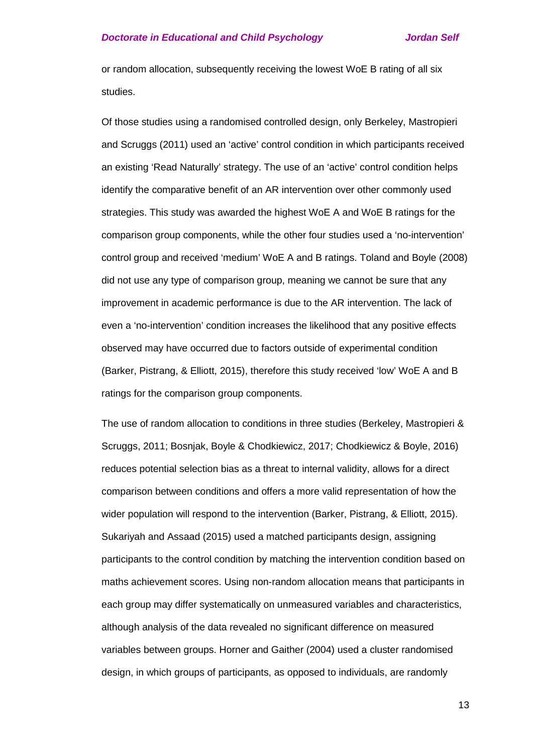or random allocation, subsequently receiving the lowest WoE B rating of all six studies.

Of those studies using a randomised controlled design, only Berkeley, Mastropieri and Scruggs (2011) used an 'active' control condition in which participants received an existing 'Read Naturally' strategy. The use of an 'active' control condition helps identify the comparative benefit of an AR intervention over other commonly used strategies. This study was awarded the highest WoE A and WoE B ratings for the comparison group components, while the other four studies used a 'no-intervention' control group and received 'medium' WoE A and B ratings. Toland and Boyle (2008) did not use any type of comparison group, meaning we cannot be sure that any improvement in academic performance is due to the AR intervention. The lack of even a 'no-intervention' condition increases the likelihood that any positive effects observed may have occurred due to factors outside of experimental condition (Barker, Pistrang, & Elliott, 2015), therefore this study received 'low' WoE A and B ratings for the comparison group components.

The use of random allocation to conditions in three studies (Berkeley, Mastropieri & Scruggs, 2011; Bosnjak, Boyle & Chodkiewicz, 2017; Chodkiewicz & Boyle, 2016) reduces potential selection bias as a threat to internal validity, allows for a direct comparison between conditions and offers a more valid representation of how the wider population will respond to the intervention (Barker, Pistrang, & Elliott, 2015). Sukariyah and Assaad (2015) used a matched participants design, assigning participants to the control condition by matching the intervention condition based on maths achievement scores. Using non-random allocation means that participants in each group may differ systematically on unmeasured variables and characteristics, although analysis of the data revealed no significant difference on measured variables between groups. Horner and Gaither (2004) used a cluster randomised design, in which groups of participants, as opposed to individuals, are randomly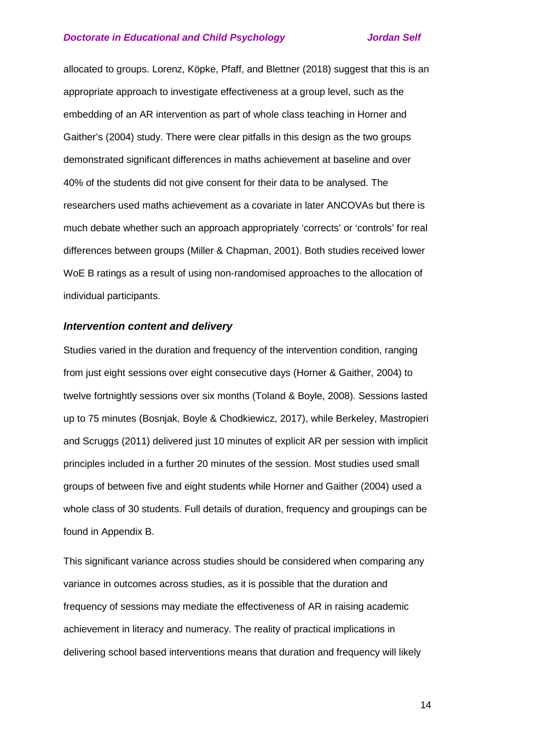allocated to groups. Lorenz, Köpke, Pfaff, and Blettner (2018) suggest that this is an appropriate approach to investigate effectiveness at a group level, such as the embedding of an AR intervention as part of whole class teaching in Horner and Gaither's (2004) study. There were clear pitfalls in this design as the two groups demonstrated significant differences in maths achievement at baseline and over 40% of the students did not give consent for their data to be analysed. The researchers used maths achievement as a covariate in later ANCOVAs but there is much debate whether such an approach appropriately 'corrects' or 'controls' for real differences between groups (Miller & Chapman, 2001). Both studies received lower WoE B ratings as a result of using non-randomised approaches to the allocation of individual participants.

## *Intervention content and delivery*

Studies varied in the duration and frequency of the intervention condition, ranging from just eight sessions over eight consecutive days (Horner & Gaither, 2004) to twelve fortnightly sessions over six months (Toland & Boyle, 2008). Sessions lasted up to 75 minutes (Bosnjak, Boyle & Chodkiewicz, 2017), while Berkeley, Mastropieri and Scruggs (2011) delivered just 10 minutes of explicit AR per session with implicit principles included in a further 20 minutes of the session. Most studies used small groups of between five and eight students while Horner and Gaither (2004) used a whole class of 30 students. Full details of duration, frequency and groupings can be found in Appendix B.

This significant variance across studies should be considered when comparing any variance in outcomes across studies, as it is possible that the duration and frequency of sessions may mediate the effectiveness of AR in raising academic achievement in literacy and numeracy. The reality of practical implications in delivering school based interventions means that duration and frequency will likely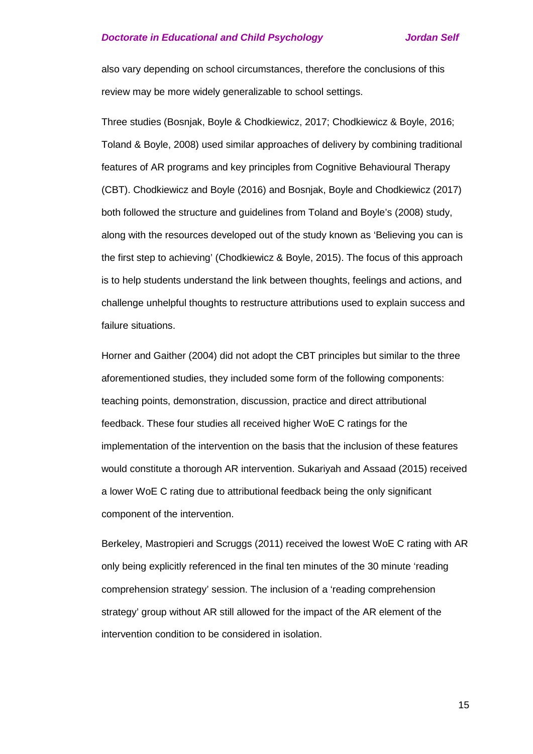also vary depending on school circumstances, therefore the conclusions of this review may be more widely generalizable to school settings.

Three studies (Bosnjak, Boyle & Chodkiewicz, 2017; Chodkiewicz & Boyle, 2016; Toland & Boyle, 2008) used similar approaches of delivery by combining traditional features of AR programs and key principles from Cognitive Behavioural Therapy (CBT). Chodkiewicz and Boyle (2016) and Bosnjak, Boyle and Chodkiewicz (2017) both followed the structure and guidelines from Toland and Boyle's (2008) study, along with the resources developed out of the study known as 'Believing you can is the first step to achieving' (Chodkiewicz & Boyle, 2015). The focus of this approach is to help students understand the link between thoughts, feelings and actions, and challenge unhelpful thoughts to restructure attributions used to explain success and failure situations.

Horner and Gaither (2004) did not adopt the CBT principles but similar to the three aforementioned studies, they included some form of the following components: teaching points, demonstration, discussion, practice and direct attributional feedback. These four studies all received higher WoE C ratings for the implementation of the intervention on the basis that the inclusion of these features would constitute a thorough AR intervention. Sukariyah and Assaad (2015) received a lower WoE C rating due to attributional feedback being the only significant component of the intervention.

Berkeley, Mastropieri and Scruggs (2011) received the lowest WoE C rating with AR only being explicitly referenced in the final ten minutes of the 30 minute 'reading comprehension strategy' session. The inclusion of a 'reading comprehension strategy' group without AR still allowed for the impact of the AR element of the intervention condition to be considered in isolation.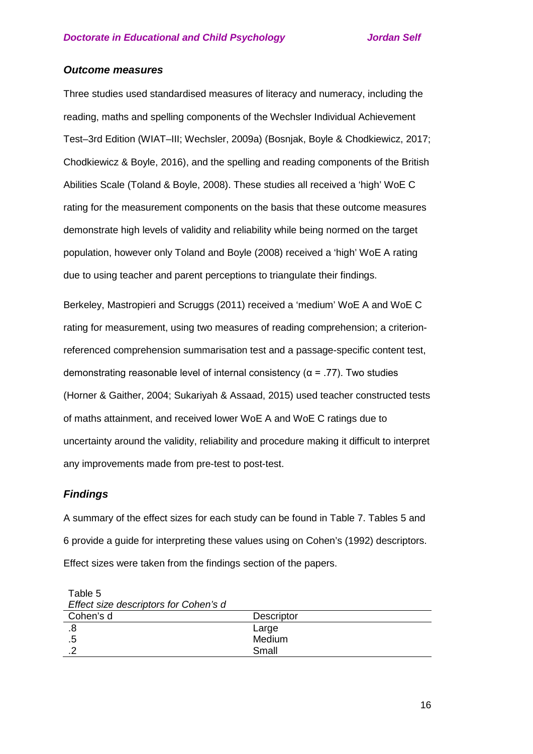## *Outcome measures*

Three studies used standardised measures of literacy and numeracy, including the reading, maths and spelling components of the Wechsler Individual Achievement Test–3rd Edition (WIAT–III; Wechsler, 2009a) (Bosnjak, Boyle & Chodkiewicz, 2017; Chodkiewicz & Boyle, 2016), and the spelling and reading components of the British Abilities Scale (Toland & Boyle, 2008). These studies all received a 'high' WoE C rating for the measurement components on the basis that these outcome measures demonstrate high levels of validity and reliability while being normed on the target population, however only Toland and Boyle (2008) received a 'high' WoE A rating due to using teacher and parent perceptions to triangulate their findings.

Berkeley, Mastropieri and Scruggs (2011) received a 'medium' WoE A and WoE C rating for measurement, using two measures of reading comprehension; a criterionreferenced comprehension summarisation test and a passage-specific content test, demonstrating reasonable level of internal consistency ( $\alpha$  = .77). Two studies (Horner & Gaither, 2004; Sukariyah & Assaad, 2015) used teacher constructed tests of maths attainment, and received lower WoE A and WoE C ratings due to uncertainty around the validity, reliability and procedure making it difficult to interpret any improvements made from pre-test to post-test.

## *Findings*

A summary of the effect sizes for each study can be found in Table 7. Tables 5 and 6 provide a guide for interpreting these values using on Cohen's (1992) descriptors. Effect sizes were taken from the findings section of the papers.

| Effect size descriptors for Conen's d |                   |
|---------------------------------------|-------------------|
| Cohen's d                             | <b>Descriptor</b> |
|                                       | Large             |
|                                       | Medium            |
|                                       | Small             |
|                                       |                   |

Table 5 *Effect size descriptors for Cohen's d*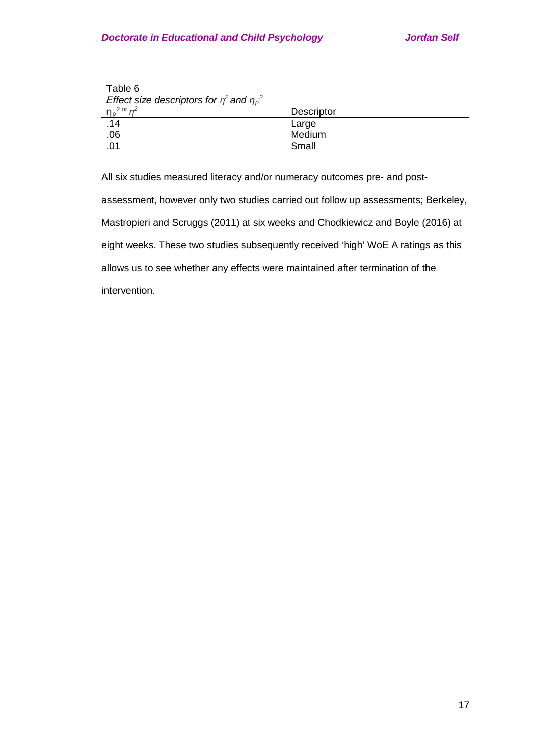| Table 6                                             |                   |
|-----------------------------------------------------|-------------------|
| Effect size descriptors for $\eta^2$ and $\eta_p^2$ |                   |
| $\eta_p{}^{2 \text{ or } \eta^2}$                   | <b>Descriptor</b> |
| .14                                                 | Large             |
| .06                                                 | Medium            |
| .01                                                 | Small             |

All six studies measured literacy and/or numeracy outcomes pre- and post-

assessment, however only two studies carried out follow up assessments; Berkeley, Mastropieri and Scruggs (2011) at six weeks and Chodkiewicz and Boyle (2016) at eight weeks. These two studies subsequently received 'high' WoE A ratings as this allows us to see whether any effects were maintained after termination of the intervention.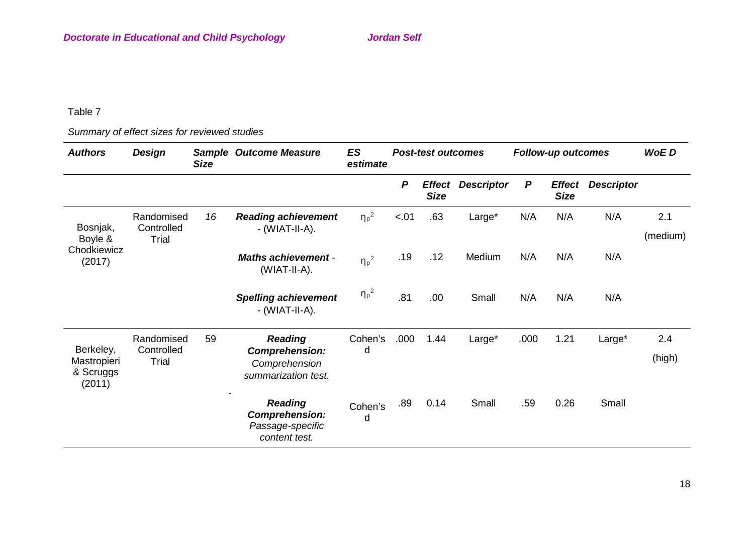# *Summary of effect sizes for reviewed studies*

| <b>Authors</b>                                  | <b>Design</b>                            | <b>Size</b> | <b>Sample Outcome Measure</b>                                                   | ES<br>estimate      |        | <b>Post-test outcomes</b><br><b>Follow-up outcomes</b> |                   |                  | <b>WoED</b>                  |                   |                 |
|-------------------------------------------------|------------------------------------------|-------------|---------------------------------------------------------------------------------|---------------------|--------|--------------------------------------------------------|-------------------|------------------|------------------------------|-------------------|-----------------|
|                                                 |                                          |             |                                                                                 |                     | P      | <b>Effect</b><br><b>Size</b>                           | <b>Descriptor</b> | $\boldsymbol{P}$ | <b>Effect</b><br><b>Size</b> | <b>Descriptor</b> |                 |
| Bosnjak,<br>Boyle &                             | Randomised<br>Controlled<br>Trial        | 16          | <b>Reading achievement</b><br>$-$ (WIAT-II-A).                                  | $\eta_{p}^{2}$      | $-.01$ | .63                                                    | Large*            | N/A              | N/A                          | N/A               | 2.1<br>(medium) |
| Chodkiewicz<br>(2017)                           |                                          |             | <b>Maths achievement -</b><br>(WIAT-II-A).                                      | $\eta_p^2$          | .19    | .12                                                    | Medium            | N/A              | N/A                          | N/A               |                 |
|                                                 |                                          |             | <b>Spelling achievement</b><br>- (WIAT-II-A).                                   | ${\eta_\text{p}}^2$ | .81    | .00.                                                   | Small             | N/A              | N/A                          | N/A               |                 |
| Berkeley,<br>Mastropieri<br>& Scruggs<br>(2011) | Randomised<br>Controlled<br><b>Trial</b> | 59          | <b>Reading</b><br><b>Comprehension:</b><br>Comprehension<br>summarization test. | Cohen's<br>d        | .000   | 1.44                                                   | Large*            | .000             | 1.21                         | Large*            | 2.4<br>(high)   |
|                                                 |                                          |             | <b>Reading</b><br><b>Comprehension:</b><br>Passage-specific<br>content test.    | Cohen's<br>d        | .89    | 0.14                                                   | Small             | .59              | 0.26                         | Small             |                 |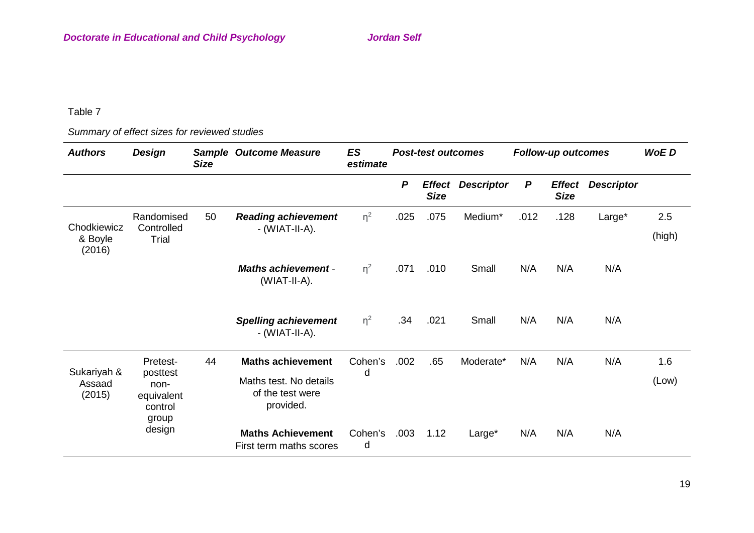*Summary of effect sizes for reviewed studies*

| <b>Authors</b>                   | <b>Design</b>                                                  | <b>Size</b> | <b>Sample Outcome Measure</b>                                                       | ES<br>estimate | <b>Post-test outcomes</b> |                              | <b>Follow-up outcomes</b> |                  |                              | <b>WoED</b>       |               |
|----------------------------------|----------------------------------------------------------------|-------------|-------------------------------------------------------------------------------------|----------------|---------------------------|------------------------------|---------------------------|------------------|------------------------------|-------------------|---------------|
|                                  |                                                                |             |                                                                                     |                | $\boldsymbol{P}$          | <b>Effect</b><br><b>Size</b> | <b>Descriptor</b>         | $\boldsymbol{P}$ | <b>Effect</b><br><b>Size</b> | <b>Descriptor</b> |               |
| Chodkiewicz<br>& Boyle<br>(2016) | Randomised<br>Controlled<br>Trial                              | 50          | <b>Reading achievement</b><br>- (WIAT-II-A).                                        | $\eta^2$       | .025                      | .075                         | Medium*                   | .012             | .128                         | Large*            | 2.5<br>(high) |
|                                  |                                                                |             | <b>Maths achievement -</b><br>(WIAT-II-A).                                          | $\eta^2$       | .071                      | .010                         | Small                     | N/A              | N/A                          | N/A               |               |
|                                  |                                                                |             | <b>Spelling achievement</b><br>- (WIAT-II-A).                                       | $\eta^2$       | .34                       | .021                         | Small                     | N/A              | N/A                          | N/A               |               |
| Sukariyah &<br>Assaad<br>(2015)  | Pretest-<br>posttest<br>non-<br>equivalent<br>control<br>group | 44          | <b>Maths achievement</b><br>Maths test. No details<br>of the test were<br>provided. | Cohen's<br>d   | .002                      | .65                          | Moderate*                 | N/A              | N/A                          | N/A               | 1.6<br>(Low)  |
|                                  | design                                                         |             | <b>Maths Achievement</b><br>First term maths scores                                 | Cohen's<br>d   | .003                      | 1.12                         | Large*                    | N/A              | N/A                          | N/A               |               |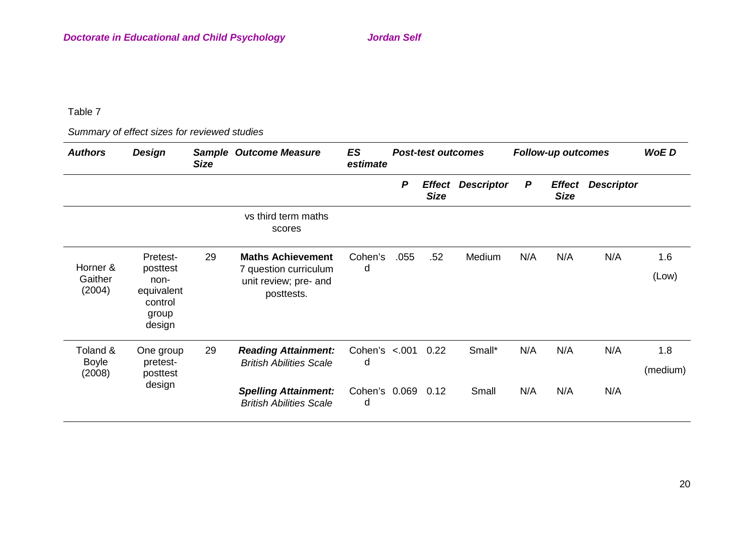*Summary of effect sizes for reviewed studies*

| <b>Authors</b>                     | <b>Design</b>                                                            | <b>Size</b> | <b>Sample Outcome Measure</b>                                                            | ES<br>estimate                                               | <b>Post-test outcomes</b> |             | <b>Follow-up outcomes</b> |        |                              | <b>WoED</b>       |              |                 |
|------------------------------------|--------------------------------------------------------------------------|-------------|------------------------------------------------------------------------------------------|--------------------------------------------------------------|---------------------------|-------------|---------------------------|--------|------------------------------|-------------------|--------------|-----------------|
|                                    |                                                                          |             |                                                                                          |                                                              | P                         | <b>Size</b> | <b>Effect Descriptor</b>  | P      | <b>Effect</b><br><b>Size</b> | <b>Descriptor</b> |              |                 |
|                                    |                                                                          |             | vs third term maths<br>scores                                                            |                                                              |                           |             |                           |        |                              |                   |              |                 |
| Horner &<br>Gaither<br>(2004)      | Pretest-<br>posttest<br>non-<br>equivalent<br>control<br>group<br>design | 29          | <b>Maths Achievement</b><br>7 question curriculum<br>unit review; pre- and<br>posttests. | Cohen's<br>d                                                 | .055                      | .52         | Medium                    | N/A    | N/A                          | N/A               | 1.6<br>(Low) |                 |
| Toland &<br><b>Boyle</b><br>(2008) | One group<br>pretest-<br>posttest<br>design                              | 29          |                                                                                          | <b>Reading Attainment:</b><br><b>British Abilities Scale</b> | Cohen's $< 001$<br>d      |             | 0.22                      | Small* | N/A                          | N/A               | N/A          | 1.8<br>(medium) |
|                                    |                                                                          |             | <b>Spelling Attainment:</b><br><b>British Abilities Scale</b>                            | Cohen's 0.069<br>d                                           |                           | 0.12        | Small                     | N/A    | N/A                          | N/A               |              |                 |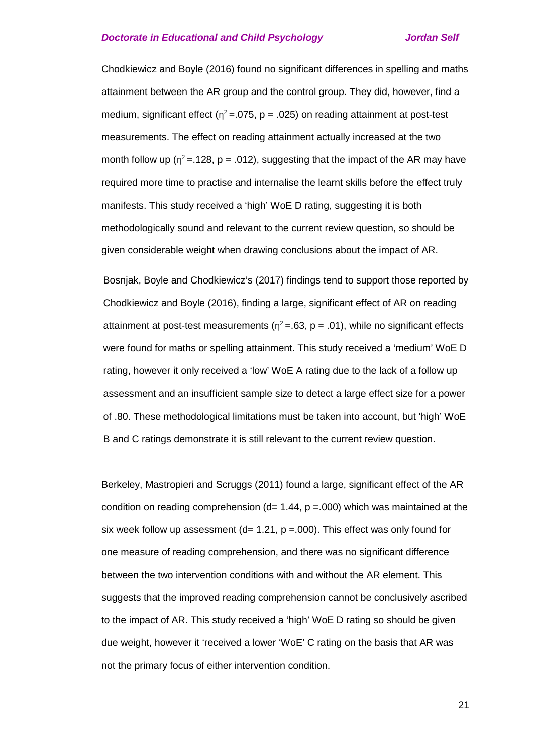Chodkiewicz and Boyle (2016) found no significant differences in spelling and maths attainment between the AR group and the control group. They did, however, find a medium, significant effect ( $n^2$  = .075, p = .025) on reading attainment at post-test measurements. The effect on reading attainment actually increased at the two month follow up ( $\eta^2$  = .128, p = .012), suggesting that the impact of the AR may have required more time to practise and internalise the learnt skills before the effect truly manifests. This study received a 'high' WoE D rating, suggesting it is both methodologically sound and relevant to the current review question, so should be given considerable weight when drawing conclusions about the impact of AR.

Bosnjak, Boyle and Chodkiewicz's (2017) findings tend to support those reported by Chodkiewicz and Boyle (2016), finding a large, significant effect of AR on reading attainment at post-test measurements ( $\eta^2 = .63$ , p = .01), while no significant effects were found for maths or spelling attainment. This study received a 'medium' WoE D rating, however it only received a 'low' WoE A rating due to the lack of a follow up assessment and an insufficient sample size to detect a large effect size for a power of .80. These methodological limitations must be taken into account, but 'high' WoE B and C ratings demonstrate it is still relevant to the current review question.

Berkeley, Mastropieri and Scruggs (2011) found a large, significant effect of the AR condition on reading comprehension ( $d= 1.44$ ,  $p = 0.00$ ) which was maintained at the six week follow up assessment ( $d= 1.21$ , p =.000). This effect was only found for one measure of reading comprehension, and there was no significant difference between the two intervention conditions with and without the AR element. This suggests that the improved reading comprehension cannot be conclusively ascribed to the impact of AR. This study received a 'high' WoE D rating so should be given due weight, however it 'received a lower 'WoE' C rating on the basis that AR was not the primary focus of either intervention condition.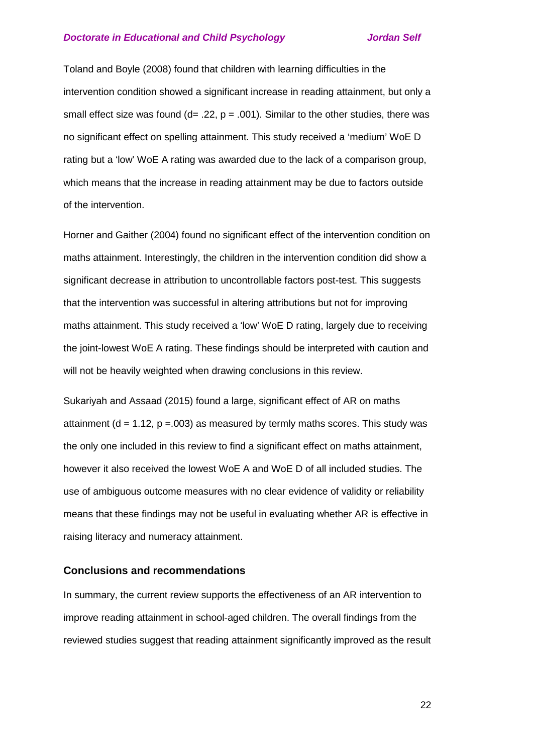Toland and Boyle (2008) found that children with learning difficulties in the intervention condition showed a significant increase in reading attainment, but only a small effect size was found  $(d= .22, p = .001)$ . Similar to the other studies, there was no significant effect on spelling attainment. This study received a 'medium' WoE D rating but a 'low' WoE A rating was awarded due to the lack of a comparison group, which means that the increase in reading attainment may be due to factors outside of the intervention.

Horner and Gaither (2004) found no significant effect of the intervention condition on maths attainment. Interestingly, the children in the intervention condition did show a significant decrease in attribution to uncontrollable factors post-test. This suggests that the intervention was successful in altering attributions but not for improving maths attainment. This study received a 'low' WoE D rating, largely due to receiving the joint-lowest WoE A rating. These findings should be interpreted with caution and will not be heavily weighted when drawing conclusions in this review.

Sukariyah and Assaad (2015) found a large, significant effect of AR on maths attainment ( $d = 1.12$ ,  $p = 0.003$ ) as measured by termly maths scores. This study was the only one included in this review to find a significant effect on maths attainment, however it also received the lowest WoE A and WoE D of all included studies. The use of ambiguous outcome measures with no clear evidence of validity or reliability means that these findings may not be useful in evaluating whether AR is effective in raising literacy and numeracy attainment.

### **Conclusions and recommendations**

In summary, the current review supports the effectiveness of an AR intervention to improve reading attainment in school-aged children. The overall findings from the reviewed studies suggest that reading attainment significantly improved as the result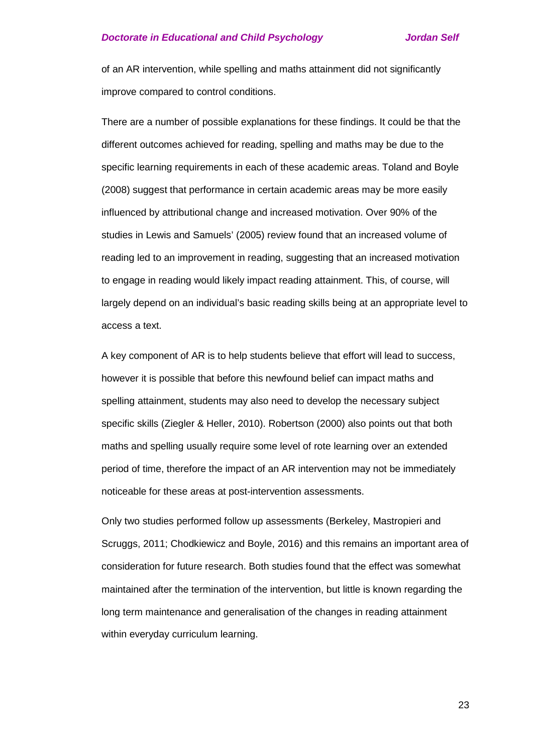of an AR intervention, while spelling and maths attainment did not significantly improve compared to control conditions.

There are a number of possible explanations for these findings. It could be that the different outcomes achieved for reading, spelling and maths may be due to the specific learning requirements in each of these academic areas. Toland and Boyle (2008) suggest that performance in certain academic areas may be more easily influenced by attributional change and increased motivation. Over 90% of the studies in Lewis and Samuels' (2005) review found that an increased volume of reading led to an improvement in reading, suggesting that an increased motivation to engage in reading would likely impact reading attainment. This, of course, will largely depend on an individual's basic reading skills being at an appropriate level to access a text.

A key component of AR is to help students believe that effort will lead to success, however it is possible that before this newfound belief can impact maths and spelling attainment, students may also need to develop the necessary subject specific skills (Ziegler & Heller, 2010). Robertson (2000) also points out that both maths and spelling usually require some level of rote learning over an extended period of time, therefore the impact of an AR intervention may not be immediately noticeable for these areas at post-intervention assessments.

Only two studies performed follow up assessments (Berkeley, Mastropieri and Scruggs, 2011; Chodkiewicz and Boyle, 2016) and this remains an important area of consideration for future research. Both studies found that the effect was somewhat maintained after the termination of the intervention, but little is known regarding the long term maintenance and generalisation of the changes in reading attainment within everyday curriculum learning.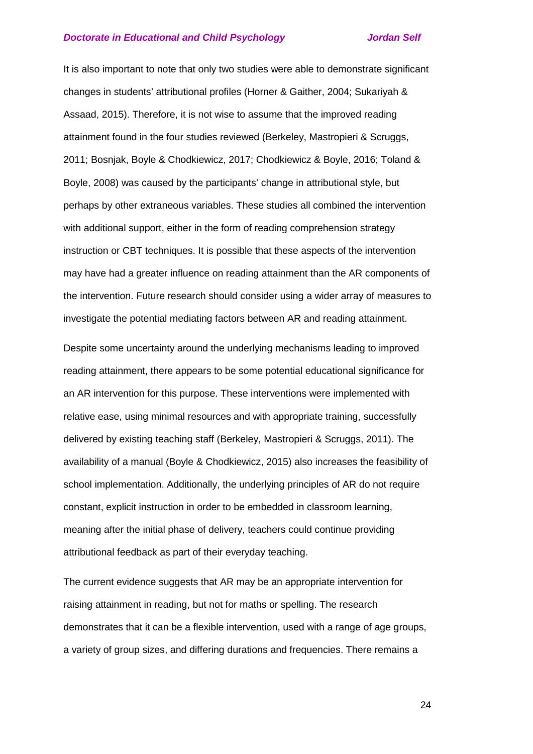It is also important to note that only two studies were able to demonstrate significant changes in students' attributional profiles (Horner & Gaither, 2004; Sukariyah & Assaad, 2015). Therefore, it is not wise to assume that the improved reading attainment found in the four studies reviewed (Berkeley, Mastropieri & Scruggs, 2011; Bosnjak, Boyle & Chodkiewicz, 2017; Chodkiewicz & Boyle, 2016; Toland & Boyle, 2008) was caused by the participants' change in attributional style, but perhaps by other extraneous variables. These studies all combined the intervention with additional support, either in the form of reading comprehension strategy instruction or CBT techniques. It is possible that these aspects of the intervention may have had a greater influence on reading attainment than the AR components of the intervention. Future research should consider using a wider array of measures to investigate the potential mediating factors between AR and reading attainment.

Despite some uncertainty around the underlying mechanisms leading to improved reading attainment, there appears to be some potential educational significance for an AR intervention for this purpose. These interventions were implemented with relative ease, using minimal resources and with appropriate training, successfully delivered by existing teaching staff (Berkeley, Mastropieri & Scruggs, 2011). The availability of a manual (Boyle & Chodkiewicz, 2015) also increases the feasibility of school implementation. Additionally, the underlying principles of AR do not require constant, explicit instruction in order to be embedded in classroom learning, meaning after the initial phase of delivery, teachers could continue providing attributional feedback as part of their everyday teaching.

The current evidence suggests that AR may be an appropriate intervention for raising attainment in reading, but not for maths or spelling. The research demonstrates that it can be a flexible intervention, used with a range of age groups, a variety of group sizes, and differing durations and frequencies. There remains a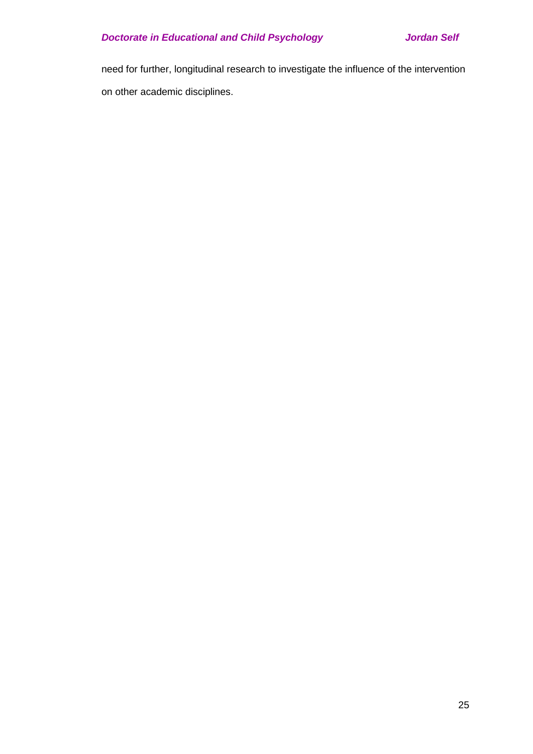need for further, longitudinal research to investigate the influence of the intervention on other academic disciplines.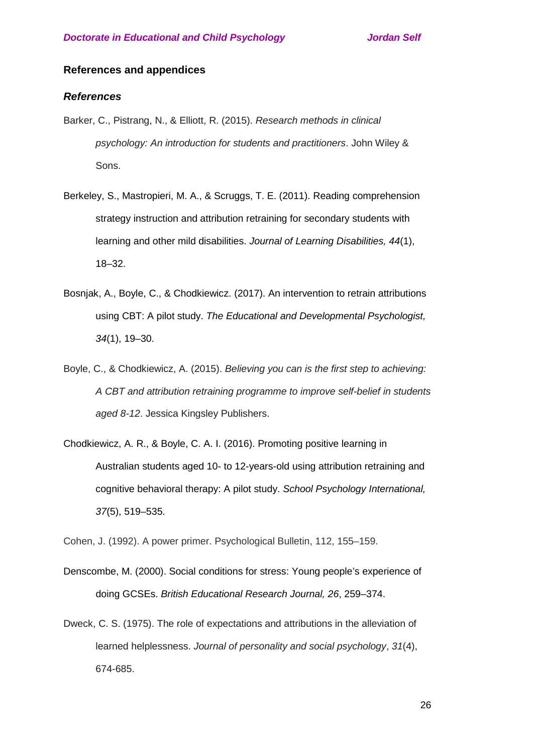## **References and appendices**

## *References*

- Barker, C., Pistrang, N., & Elliott, R. (2015). *Research methods in clinical psychology: An introduction for students and practitioners*. John Wiley & Sons.
- Berkeley, S., Mastropieri, M. A., & Scruggs, T. E. (2011). Reading comprehension strategy instruction and attribution retraining for secondary students with learning and other mild disabilities. *Journal of Learning Disabilities, 44*(1), 18–32.
- Bosnjak, A., Boyle, C., & Chodkiewicz. (2017). An intervention to retrain attributions using CBT: A pilot study. *The Educational and Developmental Psychologist, 34*(1), 19–30.
- Boyle, C., & Chodkiewicz, A. (2015). *Believing you can is the first step to achieving: A CBT and attribution retraining programme to improve self-belief in students aged 8-12*. Jessica Kingsley Publishers.
- Chodkiewicz, A. R., & Boyle, C. A. I. (2016). Promoting positive learning in Australian students aged 10- to 12-years-old using attribution retraining and cognitive behavioral therapy: A pilot study. *School Psychology International, 37*(5), 519–535.

Cohen, J. (1992). A power primer. Psychological Bulletin, 112, 155–159.

- Denscombe, M. (2000). Social conditions for stress: Young people's experience of doing GCSEs. *British Educational Research Journal, 26*, 259–374.
- Dweck, C. S. (1975). The role of expectations and attributions in the alleviation of learned helplessness. *Journal of personality and social psychology*, *31*(4), 674-685.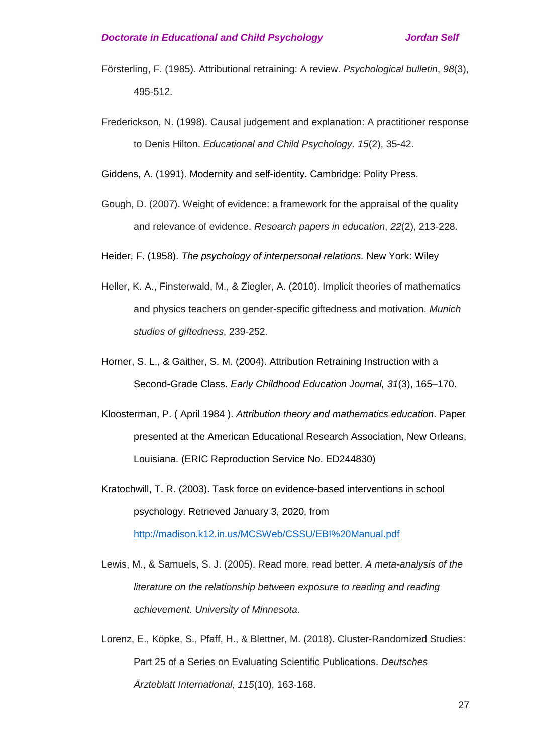- Försterling, F. (1985). Attributional retraining: A review. *Psychological bulletin*, *98*(3), 495-512.
- Frederickson, N. (1998). Causal judgement and explanation: A practitioner response to Denis Hilton. *Educational and Child Psychology, 15*(2), 35-42.

Giddens, A. (1991). Modernity and self-identity. Cambridge: Polity Press.

- Gough, D. (2007). Weight of evidence: a framework for the appraisal of the quality and relevance of evidence. *Research papers in education*, *22*(2), 213-228.
- Heider, F. (1958). *The psychology of interpersonal relations.* New York: Wiley
- Heller, K. A., Finsterwald, M., & Ziegler, A. (2010). Implicit theories of mathematics and physics teachers on gender-specific giftedness and motivation. *Munich studies of giftedness*, 239-252.
- Horner, S. L., & Gaither, S. M. (2004). Attribution Retraining Instruction with a Second-Grade Class. *Early Childhood Education Journal, 31*(3), 165–170.
- Kloosterman, P. ( April 1984 ). *Attribution theory and mathematics education*. Paper presented at the American Educational Research Association, New Orleans, Louisiana. (ERIC Reproduction Service No. ED244830)
- Kratochwill, T. R. (2003). Task force on evidence-based interventions in school psychology. Retrieved January 3, 2020, from <http://madison.k12.in.us/MCSWeb/CSSU/EBI%20Manual.pdf>
- Lewis, M., & Samuels, S. J. (2005). Read more, read better. *A meta-analysis of the literature on the relationship between exposure to reading and reading achievement. University of Minnesota*.
- Lorenz, E., Köpke, S., Pfaff, H., & Blettner, M. (2018). Cluster-Randomized Studies: Part 25 of a Series on Evaluating Scientific Publications. *Deutsches Ärzteblatt International*, *115*(10), 163-168.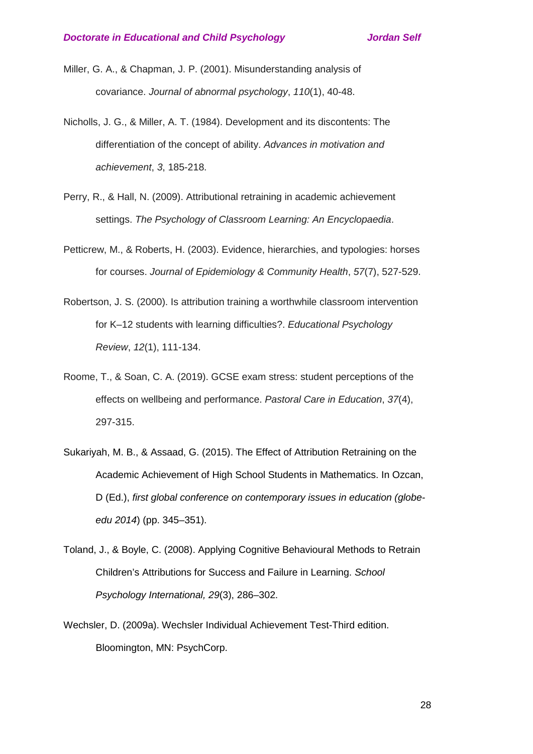- Miller, G. A., & Chapman, J. P. (2001). Misunderstanding analysis of covariance. *Journal of abnormal psychology*, *110*(1), 40-48.
- Nicholls, J. G., & Miller, A. T. (1984). Development and its discontents: The differentiation of the concept of ability. *Advances in motivation and achievement*, *3*, 185-218.
- Perry, R., & Hall, N. (2009). Attributional retraining in academic achievement settings. *The Psychology of Classroom Learning: An Encyclopaedia*.
- Petticrew, M., & Roberts, H. (2003). Evidence, hierarchies, and typologies: horses for courses. *Journal of Epidemiology & Community Health*, *57*(7), 527-529.
- Robertson, J. S. (2000). Is attribution training a worthwhile classroom intervention for K–12 students with learning difficulties?. *Educational Psychology Review*, *12*(1), 111-134.
- Roome, T., & Soan, C. A. (2019). GCSE exam stress: student perceptions of the effects on wellbeing and performance. *Pastoral Care in Education*, *37*(4), 297-315.
- Sukariyah, M. B., & Assaad, G. (2015). The Effect of Attribution Retraining on the Academic Achievement of High School Students in Mathematics. In Ozcan, D (Ed.), *first global conference on contemporary issues in education (globeedu 2014*) (pp. 345–351).
- Toland, J., & Boyle, C. (2008). Applying Cognitive Behavioural Methods to Retrain Children's Attributions for Success and Failure in Learning. *School Psychology International, 29*(3), 286–302.
- Wechsler, D. (2009a). Wechsler Individual Achievement Test-Third edition. Bloomington, MN: PsychCorp.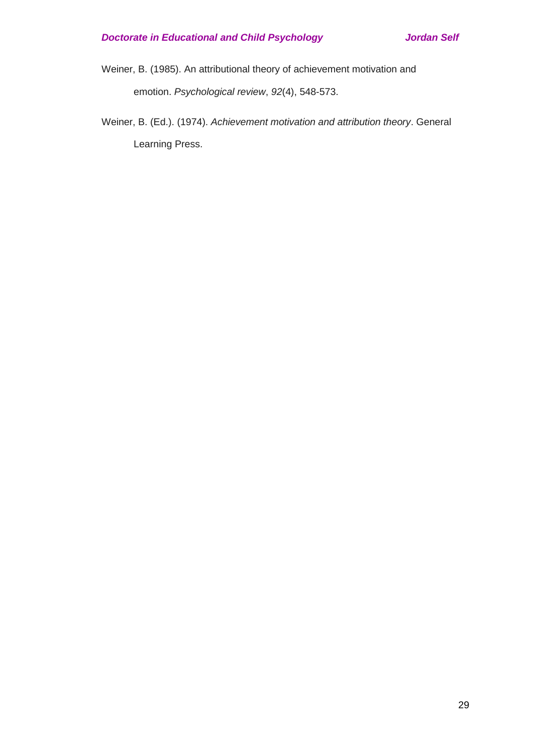Weiner, B. (1985). An attributional theory of achievement motivation and emotion. *Psychological review*, *92*(4), 548-573.

Weiner, B. (Ed.). (1974). *Achievement motivation and attribution theory*. General Learning Press.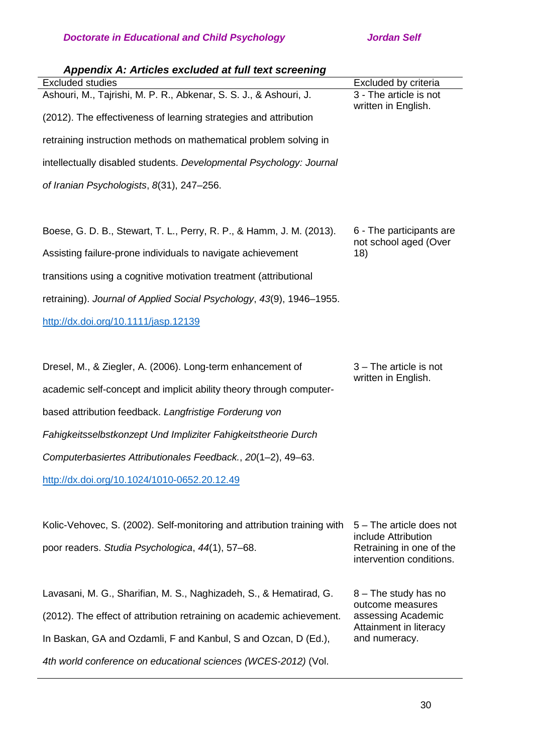| Appendix A: Articles excluded at full text screening                    |                                                   |
|-------------------------------------------------------------------------|---------------------------------------------------|
| <b>Excluded studies</b>                                                 | Excluded by criteria                              |
| Ashouri, M., Tajrishi, M. P. R., Abkenar, S. S. J., & Ashouri, J.       | 3 - The article is not<br>written in English.     |
| (2012). The effectiveness of learning strategies and attribution        |                                                   |
| retraining instruction methods on mathematical problem solving in       |                                                   |
| intellectually disabled students. Developmental Psychology: Journal     |                                                   |
| of Iranian Psychologists, 8(31), 247-256.                               |                                                   |
|                                                                         |                                                   |
| Boese, G. D. B., Stewart, T. L., Perry, R. P., & Hamm, J. M. (2013).    | 6 - The participants are<br>not school aged (Over |
| Assisting failure-prone individuals to navigate achievement             | 18)                                               |
| transitions using a cognitive motivation treatment (attributional       |                                                   |
| retraining). Journal of Applied Social Psychology, 43(9), 1946-1955.    |                                                   |
| http://dx.doi.org/10.1111/jasp.12139                                    |                                                   |
|                                                                         |                                                   |
| Dresel, M., & Ziegler, A. (2006). Long-term enhancement of              | 3 – The article is not                            |
| academic self-concept and implicit ability theory through computer-     | written in English.                               |
| based attribution feedback. Langfristige Forderung von                  |                                                   |
| Fahigkeitsselbstkonzept Und Impliziter Fahigkeitstheorie Durch          |                                                   |
| Computerbasiertes Attributionales Feedback., 20(1-2), 49-63.            |                                                   |
| http://dx.doi.org/10.1024/1010-0652.20.12.49                            |                                                   |
|                                                                         |                                                   |
| Kolic-Vehovec, S. (2002). Self-monitoring and attribution training with | 5 – The article does not                          |
| poor readers. Studia Psychologica, 44(1), 57-68.                        | include Attribution<br>Retraining in one of the   |
|                                                                         | intervention conditions.                          |
| Lavasani, M. G., Sharifian, M. S., Naghizadeh, S., & Hematirad, G.      | 8 – The study has no                              |
| (2012). The effect of attribution retraining on academic achievement.   | outcome measures<br>assessing Academic            |
| In Baskan, GA and Ozdamli, F and Kanbul, S and Ozcan, D (Ed.),          | Attainment in literacy<br>and numeracy.           |
| 4th world conference on educational sciences (WCES-2012) (Vol.          |                                                   |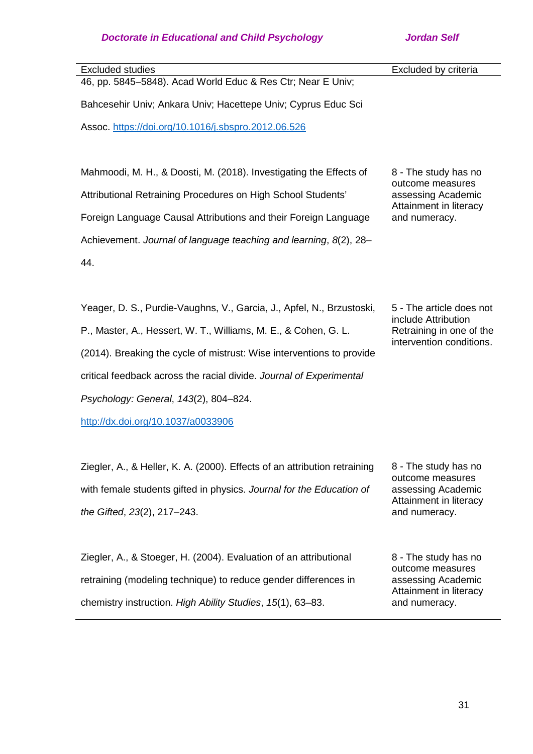| <b>Excluded studies</b>                                                   | Excluded by criteria                                 |
|---------------------------------------------------------------------------|------------------------------------------------------|
| 46, pp. 5845-5848). Acad World Educ & Res Ctr; Near E Univ;               |                                                      |
| Bahcesehir Univ; Ankara Univ; Hacettepe Univ; Cyprus Educ Sci             |                                                      |
| Assoc. https://doi.org/10.1016/j.sbspro.2012.06.526                       |                                                      |
|                                                                           |                                                      |
|                                                                           |                                                      |
| Mahmoodi, M. H., & Doosti, M. (2018). Investigating the Effects of        | 8 - The study has no                                 |
|                                                                           | outcome measures                                     |
| Attributional Retraining Procedures on High School Students'              | assessing Academic<br>Attainment in literacy         |
| Foreign Language Causal Attributions and their Foreign Language           | and numeracy.                                        |
| Achievement. Journal of language teaching and learning, 8(2), 28-         |                                                      |
|                                                                           |                                                      |
| 44.                                                                       |                                                      |
|                                                                           |                                                      |
| Yeager, D. S., Purdie-Vaughns, V., Garcia, J., Apfel, N., Brzustoski,     | 5 - The article does not                             |
|                                                                           | include Attribution                                  |
| P., Master, A., Hessert, W. T., Williams, M. E., & Cohen, G. L.           | Retraining in one of the<br>intervention conditions. |
| (2014). Breaking the cycle of mistrust: Wise interventions to provide     |                                                      |
| critical feedback across the racial divide. Journal of Experimental       |                                                      |
| Psychology: General, 143(2), 804-824.                                     |                                                      |
| http://dx.doi.org/10.1037/a0033906                                        |                                                      |
|                                                                           |                                                      |
|                                                                           |                                                      |
| Ziegler, A., & Heller, K. A. (2000). Effects of an attribution retraining | 8 - The study has no                                 |
| with female students gifted in physics. Journal for the Education of      | outcome measures<br>assessing Academic               |
|                                                                           | Attainment in literacy                               |
| the Gifted, 23(2), 217-243.                                               | and numeracy.                                        |
|                                                                           |                                                      |
| Ziegler, A., & Stoeger, H. (2004). Evaluation of an attributional         | 8 - The study has no                                 |
|                                                                           | outcome measures                                     |
| retraining (modeling technique) to reduce gender differences in           | assessing Academic<br>Attainment in literacy         |
| chemistry instruction. High Ability Studies, 15(1), 63-83.                | and numeracy.                                        |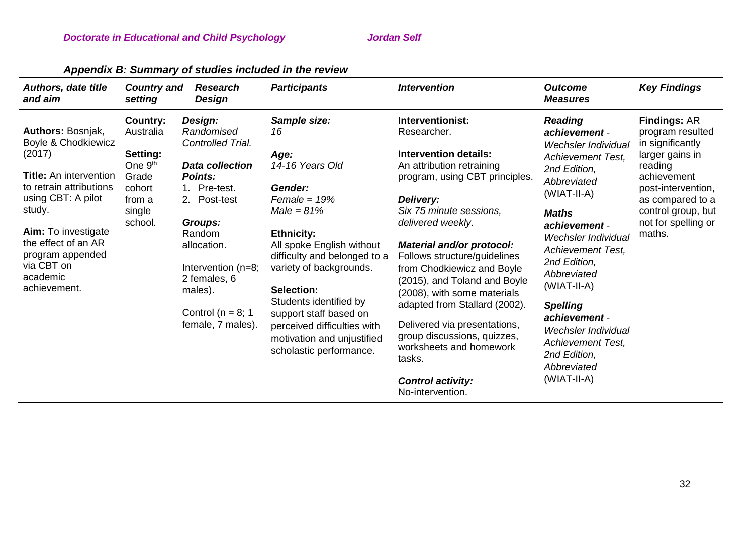| <b>Authors, date title</b><br>and aim                                                                                                                                                                                                                             | <b>Country and</b><br>setting                                                                              | <b>Research</b><br>Design                                                                                                                                                                                                                                 | <b>Participants</b>                                                                                                                                                                                                                                                                                                                                                | <i><b>Intervention</b></i>                                                                                                                                                                                                                                                                                                                                                                                                                                                                                                                 | <b>Outcome</b><br><b>Measures</b>                                                                                                                                                                                                                                                                                                                                                                                         | <b>Key Findings</b>                                                                                                                                                                                       |
|-------------------------------------------------------------------------------------------------------------------------------------------------------------------------------------------------------------------------------------------------------------------|------------------------------------------------------------------------------------------------------------|-----------------------------------------------------------------------------------------------------------------------------------------------------------------------------------------------------------------------------------------------------------|--------------------------------------------------------------------------------------------------------------------------------------------------------------------------------------------------------------------------------------------------------------------------------------------------------------------------------------------------------------------|--------------------------------------------------------------------------------------------------------------------------------------------------------------------------------------------------------------------------------------------------------------------------------------------------------------------------------------------------------------------------------------------------------------------------------------------------------------------------------------------------------------------------------------------|---------------------------------------------------------------------------------------------------------------------------------------------------------------------------------------------------------------------------------------------------------------------------------------------------------------------------------------------------------------------------------------------------------------------------|-----------------------------------------------------------------------------------------------------------------------------------------------------------------------------------------------------------|
| Authors: Bosnjak,<br>Boyle & Chodkiewicz<br>(2017)<br><b>Title:</b> An intervention<br>to retrain attributions<br>using CBT: A pilot<br>study.<br><b>Aim:</b> To investigate<br>the effect of an AR<br>program appended<br>via CBT on<br>academic<br>achievement. | Country:<br>Australia<br>Setting:<br>One 9 <sup>th</sup><br>Grade<br>cohort<br>from a<br>single<br>school. | Design:<br>Randomised<br>Controlled Trial.<br><b>Data collection</b><br>Points:<br>1. Pre-test.<br>2. Post-test<br><b>Groups:</b><br>Random<br>allocation.<br>Intervention (n=8;<br>2 females, 6<br>males).<br>Control ( $n = 8$ ; 1<br>female, 7 males). | Sample size:<br>16<br>Age:<br>14-16 Years Old<br>Gender:<br>$Female = 19%$<br>$Male = 81\%$<br><b>Ethnicity:</b><br>All spoke English without<br>difficulty and belonged to a<br>variety of backgrounds.<br>Selection:<br>Students identified by<br>support staff based on<br>perceived difficulties with<br>motivation and unjustified<br>scholastic performance. | Interventionist:<br>Researcher.<br><b>Intervention details:</b><br>An attribution retraining<br>program, using CBT principles.<br>Delivery:<br>Six 75 minute sessions,<br>delivered weekly.<br>Material and/or protocol:<br>Follows structure/guidelines<br>from Chodkiewicz and Boyle<br>(2015), and Toland and Boyle<br>(2008), with some materials<br>adapted from Stallard (2002).<br>Delivered via presentations,<br>group discussions, quizzes,<br>worksheets and homework<br>tasks.<br><b>Control activity:</b><br>No-intervention. | <b>Reading</b><br>achievement -<br><b>Wechsler Individual</b><br><b>Achievement Test,</b><br>2nd Edition,<br>Abbreviated<br>(WIAT-II-A)<br><b>Maths</b><br>achievement -<br><b>Wechsler Individual</b><br><b>Achievement Test,</b><br>2nd Edition,<br>Abbreviated<br>$(WIAT-II-A)$<br><b>Spelling</b><br>achievement -<br>Wechsler Individual<br><b>Achievement Test,</b><br>2nd Edition,<br>Abbreviated<br>$(WIAT-II-A)$ | <b>Findings: AR</b><br>program resulted<br>in significantly<br>larger gains in<br>reading<br>achievement<br>post-intervention,<br>as compared to a<br>control group, but<br>not for spelling or<br>maths. |

# *Appendix B: Summary of studies included in the review*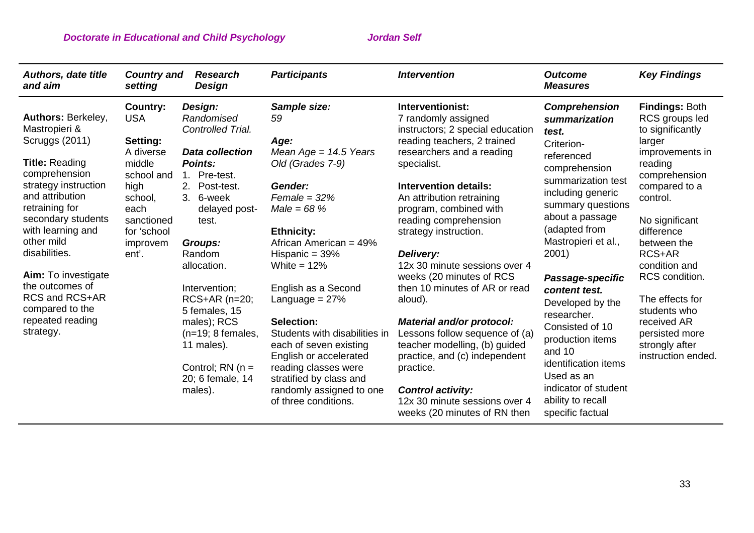| <b>Authors, date title</b><br>and aim                                                                                                                                                                                                                                                                                                                         | <b>Country and</b><br>setting                                                                                                                        | <b>Research</b><br>Design                                                                                                                                                                                                                                                                                                                                                    | <b>Participants</b>                                                                                                                                                                                                                                                                                                                                                                                                                                               | <b>Intervention</b>                                                                                                                                                                                                                                                                                                                                                                                                                                                                                                                                                                                                                                                     | <b>Outcome</b><br><b>Measures</b>                                                                                                                                                                                                                                                                                                                                                                                                                               | <b>Key Findings</b>                                                                                                                                                                                                                                                                                                                                       |
|---------------------------------------------------------------------------------------------------------------------------------------------------------------------------------------------------------------------------------------------------------------------------------------------------------------------------------------------------------------|------------------------------------------------------------------------------------------------------------------------------------------------------|------------------------------------------------------------------------------------------------------------------------------------------------------------------------------------------------------------------------------------------------------------------------------------------------------------------------------------------------------------------------------|-------------------------------------------------------------------------------------------------------------------------------------------------------------------------------------------------------------------------------------------------------------------------------------------------------------------------------------------------------------------------------------------------------------------------------------------------------------------|-------------------------------------------------------------------------------------------------------------------------------------------------------------------------------------------------------------------------------------------------------------------------------------------------------------------------------------------------------------------------------------------------------------------------------------------------------------------------------------------------------------------------------------------------------------------------------------------------------------------------------------------------------------------------|-----------------------------------------------------------------------------------------------------------------------------------------------------------------------------------------------------------------------------------------------------------------------------------------------------------------------------------------------------------------------------------------------------------------------------------------------------------------|-----------------------------------------------------------------------------------------------------------------------------------------------------------------------------------------------------------------------------------------------------------------------------------------------------------------------------------------------------------|
| Authors: Berkeley,<br>Mastropieri &<br><b>Scruggs (2011)</b><br><b>Title: Reading</b><br>comprehension<br>strategy instruction<br>and attribution<br>retraining for<br>secondary students<br>with learning and<br>other mild<br>disabilities.<br>Aim: To investigate<br>the outcomes of<br>RCS and RCS+AR<br>compared to the<br>repeated reading<br>strategy. | Country:<br><b>USA</b><br>Setting:<br>A diverse<br>middle<br>school and<br>high<br>school,<br>each<br>sanctioned<br>for 'school<br>improvem<br>ent'. | Design:<br>Randomised<br>Controlled Trial.<br><b>Data collection</b><br><b>Points:</b><br>Pre-test.<br>$1_{-}$<br>Post-test.<br>3.<br>6-week<br>delayed post-<br>test.<br><b>Groups:</b><br>Random<br>allocation.<br>Intervention;<br>RCS+AR (n=20;<br>5 females, 15<br>males); RCS<br>$(n=19; 8$ females,<br>11 males).<br>Control; $RN(n =$<br>20; 6 female, 14<br>males). | Sample size:<br>59<br>Age:<br>Mean Age = $14.5$ Years<br>Old (Grades 7-9)<br>Gender:<br>$Female = 32%$<br>$Male = 68%$<br><b>Ethnicity:</b><br>African American = 49%<br>Hispanic = $39\%$<br>White = $12\%$<br>English as a Second<br>Language = $27%$<br>Selection:<br>Students with disabilities in<br>each of seven existing<br>English or accelerated<br>reading classes were<br>stratified by class and<br>randomly assigned to one<br>of three conditions. | Interventionist:<br>7 randomly assigned<br>instructors; 2 special education<br>reading teachers, 2 trained<br>researchers and a reading<br>specialist.<br><b>Intervention details:</b><br>An attribution retraining<br>program, combined with<br>reading comprehension<br>strategy instruction.<br>Delivery:<br>12x 30 minute sessions over 4<br>weeks (20 minutes of RCS<br>then 10 minutes of AR or read<br>aloud).<br><b>Material and/or protocol:</b><br>Lessons follow sequence of (a)<br>teacher modelling, (b) guided<br>practice, and (c) independent<br>practice.<br><b>Control activity:</b><br>12x 30 minute sessions over 4<br>weeks (20 minutes of RN then | <b>Comprehension</b><br>summarization<br>test.<br>Criterion-<br>referenced<br>comprehension<br>summarization test<br>including generic<br>summary questions<br>about a passage<br>(adapted from<br>Mastropieri et al.,<br>2001)<br>Passage-specific<br>content test.<br>Developed by the<br>researcher.<br>Consisted of 10<br>production items<br>and 10<br>identification items<br>Used as an<br>indicator of student<br>ability to recall<br>specific factual | <b>Findings: Both</b><br>RCS groups led<br>to significantly<br>larger<br>improvements in<br>reading<br>comprehension<br>compared to a<br>control.<br>No significant<br>difference<br>between the<br>RCS+AR<br>condition and<br>RCS condition.<br>The effects for<br>students who<br>received AR<br>persisted more<br>strongly after<br>instruction ended. |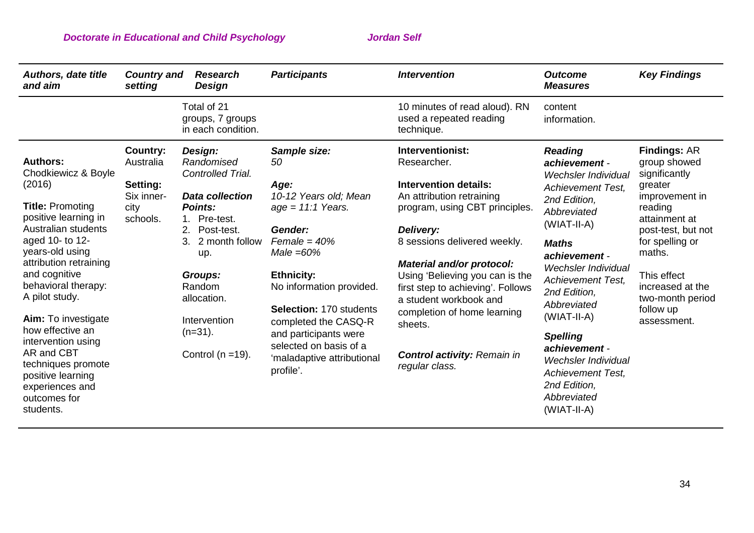| <b>Authors, date title</b><br><b>Country and</b><br>and aim<br>setting                                                                                                                                                                                                                                                                                                                                                                                                                                | <b>Research</b><br><b>Design</b>                                                                                                                                                                                                                            | <b>Participants</b>                                                                                                                                                                                                                                                                                                       | <b>Intervention</b>                                                                                                                                                                                                                                                                                                                                                                                          | <b>Outcome</b><br><b>Measures</b>                                                                                                                                                                                                                                                                                                                                                                                     | <b>Key Findings</b>                                                                                                                                                                                                                                 |
|-------------------------------------------------------------------------------------------------------------------------------------------------------------------------------------------------------------------------------------------------------------------------------------------------------------------------------------------------------------------------------------------------------------------------------------------------------------------------------------------------------|-------------------------------------------------------------------------------------------------------------------------------------------------------------------------------------------------------------------------------------------------------------|---------------------------------------------------------------------------------------------------------------------------------------------------------------------------------------------------------------------------------------------------------------------------------------------------------------------------|--------------------------------------------------------------------------------------------------------------------------------------------------------------------------------------------------------------------------------------------------------------------------------------------------------------------------------------------------------------------------------------------------------------|-----------------------------------------------------------------------------------------------------------------------------------------------------------------------------------------------------------------------------------------------------------------------------------------------------------------------------------------------------------------------------------------------------------------------|-----------------------------------------------------------------------------------------------------------------------------------------------------------------------------------------------------------------------------------------------------|
|                                                                                                                                                                                                                                                                                                                                                                                                                                                                                                       | Total of 21<br>groups, 7 groups<br>in each condition.                                                                                                                                                                                                       |                                                                                                                                                                                                                                                                                                                           | 10 minutes of read aloud). RN<br>used a repeated reading<br>technique.                                                                                                                                                                                                                                                                                                                                       | content<br>information.                                                                                                                                                                                                                                                                                                                                                                                               |                                                                                                                                                                                                                                                     |
| Country:<br><b>Authors:</b><br>Australia<br>Chodkiewicz & Boyle<br>(2016)<br>Setting:<br>Six inner-<br><b>Title: Promoting</b><br>city<br>positive learning in<br>schools.<br>Australian students<br>aged 10- to 12-<br>years-old using<br>attribution retraining<br>and cognitive<br>behavioral therapy:<br>A pilot study.<br>Aim: To investigate<br>how effective an<br>intervention using<br>AR and CBT<br>techniques promote<br>positive learning<br>experiences and<br>outcomes for<br>students. | Design:<br>Randomised<br>Controlled Trial.<br><b>Data collection</b><br><b>Points:</b><br>1. Pre-test.<br>2.<br>Post-test.<br>3.<br>2 month follow<br>up.<br><b>Groups:</b><br>Random<br>allocation.<br>Intervention<br>$(n=31)$ .<br>Control ( $n = 19$ ). | Sample size:<br>50<br>Age:<br>10-12 Years old; Mean<br>$age = 11:1 Years.$<br>Gender:<br>Female = $40%$<br>Male $=60\%$<br><b>Ethnicity:</b><br>No information provided.<br>Selection: 170 students<br>completed the CASQ-R<br>and participants were<br>selected on basis of a<br>'maladaptive attributional<br>profile'. | Interventionist:<br>Researcher.<br><b>Intervention details:</b><br>An attribution retraining<br>program, using CBT principles.<br>Delivery:<br>8 sessions delivered weekly.<br>Material and/or protocol:<br>Using 'Believing you can is the<br>first step to achieving'. Follows<br>a student workbook and<br>completion of home learning<br>sheets.<br><b>Control activity: Remain in</b><br>regular class. | <b>Reading</b><br>achievement -<br>Wechsler Individual<br><b>Achievement Test,</b><br>2nd Edition,<br>Abbreviated<br>(WIAT-II-A)<br><b>Maths</b><br>achievement -<br><b>Wechsler Individual</b><br><b>Achievement Test.</b><br>2nd Edition,<br>Abbreviated<br>(WIAT-II-A)<br><b>Spelling</b><br>achievement -<br><b>Wechsler Individual</b><br><b>Achievement Test,</b><br>2nd Edition,<br>Abbreviated<br>(WIAT-II-A) | <b>Findings: AR</b><br>group showed<br>significantly<br>greater<br>improvement in<br>reading<br>attainment at<br>post-test, but not<br>for spelling or<br>maths.<br>This effect<br>increased at the<br>two-month period<br>follow up<br>assessment. |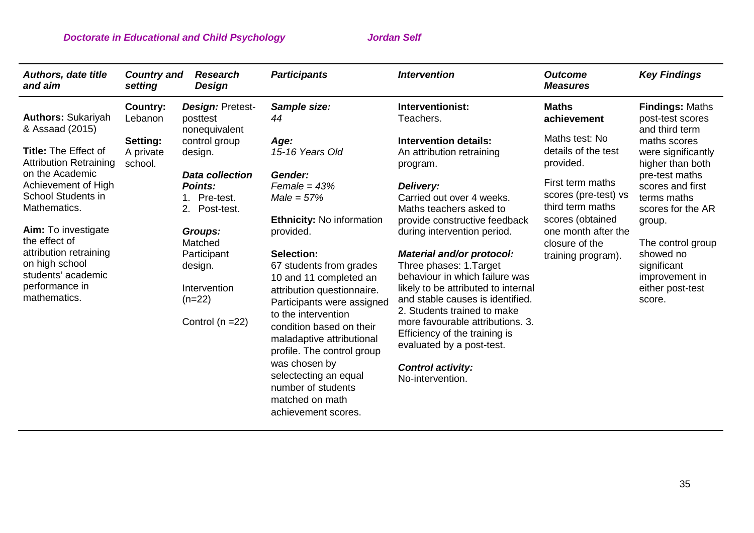| <b>Authors, date title</b><br>and aim                                                                                       | <b>Country and</b><br>setting    | <b>Research</b><br>Design                                                                       | <b>Participants</b>                                                                                                                                                                                                                                                                                                                | <b>Intervention</b>                                                                                                                                                                                              | <b>Outcome</b><br><b>Measures</b>                                                                                                                                                                     | <b>Key Findings</b>                                                                                   |                                                        |
|-----------------------------------------------------------------------------------------------------------------------------|----------------------------------|-------------------------------------------------------------------------------------------------|------------------------------------------------------------------------------------------------------------------------------------------------------------------------------------------------------------------------------------------------------------------------------------------------------------------------------------|------------------------------------------------------------------------------------------------------------------------------------------------------------------------------------------------------------------|-------------------------------------------------------------------------------------------------------------------------------------------------------------------------------------------------------|-------------------------------------------------------------------------------------------------------|--------------------------------------------------------|
| <b>Authors: Sukariyah</b><br>& Assaad (2015)                                                                                | Country:<br>Lebanon              | Design: Pretest-<br>posttest<br>nonequivalent                                                   | Sample size:<br>44                                                                                                                                                                                                                                                                                                                 | Interventionist:<br>Teachers.                                                                                                                                                                                    | <b>Maths</b><br>achievement                                                                                                                                                                           | <b>Findings: Maths</b><br>post-test scores<br>and third term                                          |                                                        |
| <b>Title: The Effect of</b><br><b>Attribution Retraining</b>                                                                | Setting:<br>A private<br>school. | control group<br>design.                                                                        | Age:<br>15-16 Years Old                                                                                                                                                                                                                                                                                                            | <b>Intervention details:</b><br>An attribution retraining<br>program.                                                                                                                                            | Maths test: No<br>details of the test<br>provided.<br>First term maths<br>scores (pre-test) vs<br>third term maths<br>scores (obtained<br>one month after the<br>closure of the<br>training program). |                                                                                                       | maths scores<br>were significantly<br>higher than both |
| on the Academic<br>Achievement of High<br><b>School Students in</b><br>Mathematics.<br>Aim: To investigate<br>the effect of |                                  | <b>Data collection</b><br><b>Points:</b><br>Pre-test.<br>2.<br>Post-test.<br>Groups:<br>Matched | Gender:<br>$Female = 43%$<br>$Male = 57\%$<br><b>Ethnicity: No information</b><br>provided.                                                                                                                                                                                                                                        | Delivery:<br>Carried out over 4 weeks.<br>Maths teachers asked to<br>provide constructive feedback<br>during intervention period.                                                                                |                                                                                                                                                                                                       | pre-test maths<br>scores and first<br>terms maths<br>scores for the AR<br>group.<br>The control group |                                                        |
| attribution retraining<br>on high school<br>students' academic<br>performance in<br>mathematics.                            |                                  | Participant<br>design.<br>Intervention<br>$(n=22)$<br>Control ( $n = 22$ )                      | Selection:<br>Three phases: 1. Target<br>67 students from grades<br>10 and 11 completed an<br>attribution questionnaire.<br>Participants were assigned<br>to the intervention<br>condition based on their<br>Efficiency of the training is<br>maladaptive attributional<br>evaluated by a post-test.<br>profile. The control group | <b>Material and/or protocol:</b><br>behaviour in which failure was<br>likely to be attributed to internal<br>and stable causes is identified.<br>2. Students trained to make<br>more favourable attributions, 3. |                                                                                                                                                                                                       | showed no<br>significant<br>improvement in<br>either post-test<br>score.                              |                                                        |
|                                                                                                                             |                                  |                                                                                                 | was chosen by<br>selectecting an equal<br>number of students<br>matched on math<br>achievement scores.                                                                                                                                                                                                                             | <b>Control activity:</b><br>No-intervention.                                                                                                                                                                     |                                                                                                                                                                                                       |                                                                                                       |                                                        |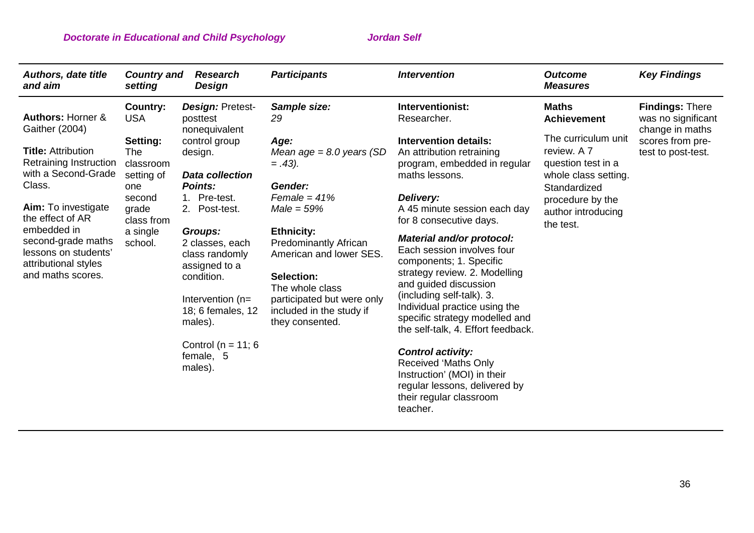| <b>Authors, date title</b><br>and aim                                                                                                                                                                                                                                                                                                                                                            | <b>Country and</b><br>setting | <b>Research</b><br>Design                                                                                                                                                                                                                                                                                                                                                                                                                                                        | <b>Participants</b>                                                                                                                                     | <b>Intervention</b>                                                                                                                                            | <b>Outcome</b><br><b>Measures</b>  | <b>Key Findings</b>                                             |
|--------------------------------------------------------------------------------------------------------------------------------------------------------------------------------------------------------------------------------------------------------------------------------------------------------------------------------------------------------------------------------------------------|-------------------------------|----------------------------------------------------------------------------------------------------------------------------------------------------------------------------------------------------------------------------------------------------------------------------------------------------------------------------------------------------------------------------------------------------------------------------------------------------------------------------------|---------------------------------------------------------------------------------------------------------------------------------------------------------|----------------------------------------------------------------------------------------------------------------------------------------------------------------|------------------------------------|-----------------------------------------------------------------|
| <b>Authors: Horner &amp;</b><br>Gaither (2004)                                                                                                                                                                                                                                                                                                                                                   | Country:<br><b>USA</b>        | <b>Design: Pretest-</b><br>posttest<br>nonequivalent                                                                                                                                                                                                                                                                                                                                                                                                                             | Sample size:<br>29                                                                                                                                      | Interventionist:<br>Researcher.                                                                                                                                | <b>Maths</b><br><b>Achievement</b> | <b>Findings: There</b><br>was no significant<br>change in maths |
| Setting:<br>control group<br>Age:<br><b>Title: Attribution</b><br>The<br>design.<br>Retraining Instruction<br>classroom<br>$=.43).$<br>with a Second-Grade<br>setting of<br><b>Data collection</b><br>Class.<br><b>Points:</b><br>Gender:<br>one<br>Female = $41%$<br>1. Pre-test.<br>second<br>Aim: To investigate<br>grade<br>2. Post-test.<br>$Male = 59\%$<br>the effect of AR<br>class from | Mean age = $8.0$ years (SD    | Intervention details:<br>An attribution retraining<br>program, embedded in regular<br>maths lessons.<br>Delivery:<br>A 45 minute session each day<br>for 8 consecutive days.                                                                                                                                                                                                                                                                                                     | The curriculum unit<br>review. A 7<br>question test in a<br>whole class setting.<br>Standardized<br>procedure by the<br>author introducing<br>the test. | scores from pre-<br>test to post-test.                                                                                                                         |                                    |                                                                 |
| embedded in<br>second-grade maths<br>lessons on students'<br>attributional styles<br>and maths scores.                                                                                                                                                                                                                                                                                           | a single<br>school.           | <b>Ethnicity:</b><br><b>Groups:</b><br>Material and/or protocol:<br><b>Predominantly African</b><br>2 classes, each<br>Each session involves four<br>American and lower SES.<br>class randomly<br>components; 1. Specific<br>assigned to a<br>condition.<br>Selection:<br>and guided discussion<br>The whole class<br>(including self-talk). 3.<br>Intervention (n=<br>participated but were only<br>included in the study if<br>18; 6 females, 12<br>males).<br>they consented. | strategy review. 2. Modelling<br>Individual practice using the<br>specific strategy modelled and<br>the self-talk, 4. Effort feedback.                  |                                                                                                                                                                |                                    |                                                                 |
|                                                                                                                                                                                                                                                                                                                                                                                                  |                               | Control ( $n = 11$ ; 6<br>female, 5<br>males).                                                                                                                                                                                                                                                                                                                                                                                                                                   |                                                                                                                                                         | <b>Control activity:</b><br><b>Received 'Maths Only</b><br>Instruction' (MOI) in their<br>regular lessons, delivered by<br>their regular classroom<br>teacher. |                                    |                                                                 |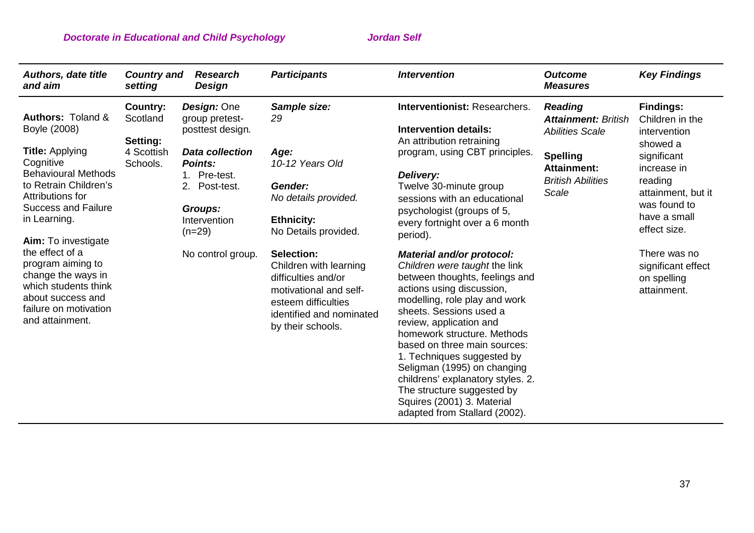| <b>Authors, date title</b><br>and aim                                                                                                                            | <b>Country and</b><br>setting                  | <b>Research</b><br>Design                                                                           | <b>Participants</b>                                                                                                                                           | <b>Intervention</b>                                                                                                                                                                                                                                                                                                                                                                                                                                                            | <b>Outcome</b><br><b>Measures</b>                       | <b>Key Findings</b>                                                                                         |                                                                 |
|------------------------------------------------------------------------------------------------------------------------------------------------------------------|------------------------------------------------|-----------------------------------------------------------------------------------------------------|---------------------------------------------------------------------------------------------------------------------------------------------------------------|--------------------------------------------------------------------------------------------------------------------------------------------------------------------------------------------------------------------------------------------------------------------------------------------------------------------------------------------------------------------------------------------------------------------------------------------------------------------------------|---------------------------------------------------------|-------------------------------------------------------------------------------------------------------------|-----------------------------------------------------------------|
| <b>Authors: Toland &amp;</b><br>Boyle (2008)<br><b>Title:</b> Applying                                                                                           | Country:<br>Scotland<br>Setting:<br>4 Scottish | Design: One<br>group pretest-<br>posttest design.<br><b>Data collection</b>                         | Sample size:<br>29<br>Age:                                                                                                                                    | Interventionist: Researchers.<br><b>Intervention details:</b><br>An attribution retraining<br>program, using CBT principles.<br>Delivery:<br>Twelve 30-minute group<br>sessions with an educational<br>psychologist (groups of 5,<br>every fortnight over a 6 month<br>period).                                                                                                                                                                                                |                                                         | <b>Reading</b><br><b>Attainment: British</b><br><b>Abilities Scale</b><br><b>Spelling</b>                   | <b>Findings:</b><br>Children in the<br>intervention<br>showed a |
| Cognitive<br><b>Behavioural Methods</b><br>to Retrain Children's<br>Attributions for<br><b>Success and Failure</b><br>in Learning.<br><b>Aim:</b> To investigate | Schools.                                       | <b>Points:</b><br>Pre-test.<br>1.<br>2.<br>Post-test.<br><b>Groups:</b><br>Intervention<br>$(n=29)$ | 10-12 Years Old<br>Gender:<br>No details provided.<br><b>Ethnicity:</b><br>No Details provided.                                                               |                                                                                                                                                                                                                                                                                                                                                                                                                                                                                | <b>Attainment:</b><br><b>British Abilities</b><br>Scale | significant<br>increase in<br>reading<br>attainment, but it<br>was found to<br>have a small<br>effect size. |                                                                 |
| the effect of a<br>program aiming to<br>change the ways in<br>which students think<br>about success and<br>failure on motivation<br>and attainment.              |                                                | No control group.                                                                                   | Selection:<br>Children with learning<br>difficulties and/or<br>motivational and self-<br>esteem difficulties<br>identified and nominated<br>by their schools. | Material and/or protocol:<br>Children were taught the link<br>between thoughts, feelings and<br>actions using discussion,<br>modelling, role play and work<br>sheets. Sessions used a<br>review, application and<br>homework structure. Methods<br>based on three main sources:<br>1. Techniques suggested by<br>Seligman (1995) on changing<br>childrens' explanatory styles. 2.<br>The structure suggested by<br>Squires (2001) 3. Material<br>adapted from Stallard (2002). |                                                         | There was no<br>significant effect<br>on spelling<br>attainment.                                            |                                                                 |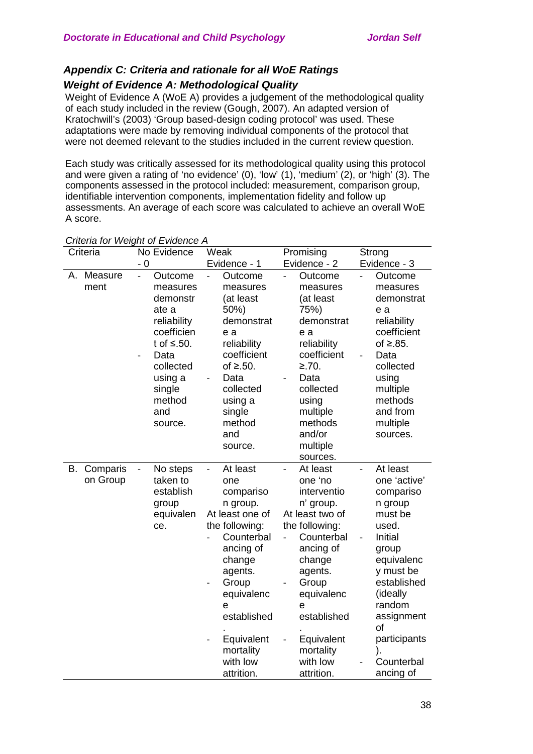# *Appendix C: Criteria and rationale for all WoE Ratings*

# *Weight of Evidence A: Methodological Quality*

Weight of Evidence A (WoE A) provides a judgement of the methodological quality of each study included in the review (Gough, 2007). An adapted version of Kratochwill's (2003) 'Group based-design coding protocol' was used. These adaptations were made by removing individual components of the protocol that were not deemed relevant to the studies included in the current review question.

Each study was critically assessed for its methodological quality using this protocol and were given a rating of 'no evidence' (0), 'low' (1), 'medium' (2), or 'high' (3). The components assessed in the protocol included: measurement, comparison group, identifiable intervention components, implementation fidelity and follow up assessments. An average of each score was calculated to achieve an overall WoE A score.

|    | Criteria             | No Evidence                                                                                                                                                                                         | Weak                                                                                                                                                                                                                                            | Promising                                                                                                                                                                                                                                              | Strong                                                                                                                                                                                                                                          |
|----|----------------------|-----------------------------------------------------------------------------------------------------------------------------------------------------------------------------------------------------|-------------------------------------------------------------------------------------------------------------------------------------------------------------------------------------------------------------------------------------------------|--------------------------------------------------------------------------------------------------------------------------------------------------------------------------------------------------------------------------------------------------------|-------------------------------------------------------------------------------------------------------------------------------------------------------------------------------------------------------------------------------------------------|
|    |                      | $-0$                                                                                                                                                                                                | Evidence - 1                                                                                                                                                                                                                                    | Evidence - 2                                                                                                                                                                                                                                           | Evidence - 3                                                                                                                                                                                                                                    |
| А. | Measure<br>ment      | Outcome<br>$\overline{a}$<br>measures<br>demonstr<br>ate a<br>reliability<br>coefficien<br>t of $\leq$ .50.<br>Data<br>$\overline{a}$<br>collected<br>using a<br>single<br>method<br>and<br>source. | Outcome<br>measures<br>(at least<br>50%)<br>demonstrat<br>e a<br>reliability<br>coefficient<br>of $\geq$ .50.<br>Data<br>collected<br>using a<br>single<br>method<br>and<br>source.                                                             | Outcome<br>measures<br>(at least<br>75%)<br>demonstrat<br>e a<br>reliability<br>coefficient<br>≥.70.<br>Data<br>collected<br>using<br>multiple<br>methods<br>and/or<br>multiple<br>sources.                                                            | Outcome<br>measures<br>demonstrat<br>e a<br>reliability<br>coefficient<br>of $\geq$ .85.<br>Data<br>$\frac{1}{2}$<br>collected<br>using<br>multiple<br>methods<br>and from<br>multiple<br>sources.                                              |
| В. | Comparis<br>on Group | No steps<br>$\overline{\phantom{a}}$<br>taken to<br>establish<br>group<br>equivalen<br>ce.                                                                                                          | At least<br>$\overline{a}$<br>one<br>compariso<br>n group.<br>At least one of<br>the following:<br>Counterbal<br>ancing of<br>change<br>agents.<br>Group<br>equivalenc<br>е<br>established<br>Equivalent<br>mortality<br>with low<br>attrition. | At least<br>$\overline{a}$<br>one 'no<br>interventio<br>n' group.<br>At least two of<br>the following:<br>Counterbal<br>ancing of<br>change<br>agents.<br>Group<br>equivalenc<br>е<br>established<br>Equivalent<br>mortality<br>with low<br>attrition. | At least<br>$\overline{a}$<br>one 'active'<br>compariso<br>n group<br>must be<br>used.<br>Initial<br>group<br>equivalenc<br>y must be<br>established<br>(ideally<br>random<br>assignment<br>of<br>participants<br>).<br>Counterbal<br>ancing of |

## *Criteria for Weight of Evidence A*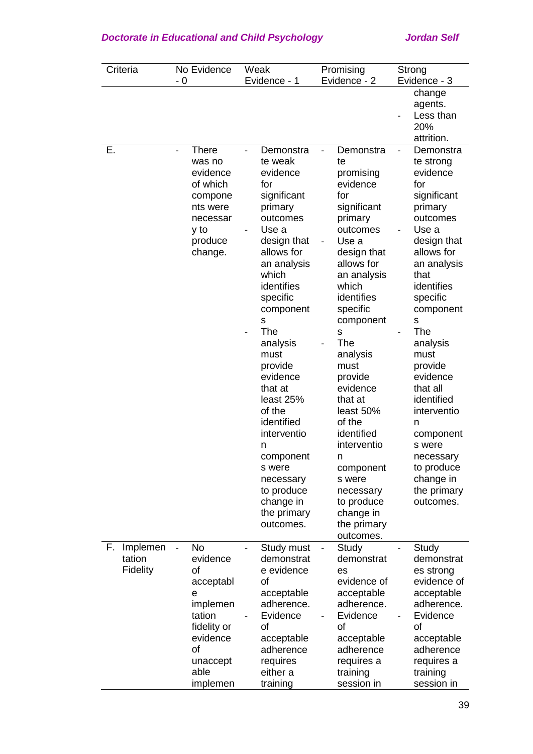| Criteria                             | No Evidence<br>- 0                                                                                                                             | Weak<br>Evidence - 1                                                                                                                                                                                                                                                                                                                                                                                     | Promising<br>Evidence - 2                                                                                                                                                                                                                                                                                                                                                                                        | Strong<br>Evidence - 3                                                                                                                                                                                                                                                                                                                                                                                                        |
|--------------------------------------|------------------------------------------------------------------------------------------------------------------------------------------------|----------------------------------------------------------------------------------------------------------------------------------------------------------------------------------------------------------------------------------------------------------------------------------------------------------------------------------------------------------------------------------------------------------|------------------------------------------------------------------------------------------------------------------------------------------------------------------------------------------------------------------------------------------------------------------------------------------------------------------------------------------------------------------------------------------------------------------|-------------------------------------------------------------------------------------------------------------------------------------------------------------------------------------------------------------------------------------------------------------------------------------------------------------------------------------------------------------------------------------------------------------------------------|
|                                      |                                                                                                                                                |                                                                                                                                                                                                                                                                                                                                                                                                          |                                                                                                                                                                                                                                                                                                                                                                                                                  | change<br>agents.<br>Less than<br>20%<br>attrition.                                                                                                                                                                                                                                                                                                                                                                           |
| Е.                                   | <b>There</b><br>$\overline{a}$<br>was no<br>evidence<br>of which<br>compone<br>nts were<br>necessar<br>y to<br>produce<br>change.<br><b>No</b> | Demonstra<br>te weak<br>evidence<br>for<br>significant<br>primary<br>outcomes<br>Use a<br>design that<br>allows for<br>an analysis<br>which<br>identifies<br>specific<br>component<br>S<br>The<br>analysis<br>must<br>provide<br>evidence<br>that at<br>least 25%<br>of the<br>identified<br>interventio<br>n<br>component<br>s were<br>necessary<br>to produce<br>change in<br>the primary<br>outcomes. | Demonstra<br>te<br>promising<br>evidence<br>for<br>significant<br>primary<br>outcomes<br>Use a<br>design that<br>allows for<br>an analysis<br>which<br>identifies<br>specific<br>component<br>S<br>The<br>analysis<br>must<br>provide<br>evidence<br>that at<br>least 50%<br>of the<br>identified<br>interventio<br>n<br>component<br>s were<br>necessary<br>to produce<br>change in<br>the primary<br>outcomes. | Demonstra<br>$\qquad \qquad \blacksquare$<br>te strong<br>evidence<br>for<br>significant<br>primary<br>outcomes<br>Use a<br>design that<br>allows for<br>an analysis<br>that<br>identifies<br>specific<br>component<br>$\mathbf S$<br>The<br>analysis<br>must<br>provide<br>evidence<br>that all<br>identified<br>interventio<br>n<br>component<br>s were<br>necessary<br>to produce<br>change in<br>the primary<br>outcomes. |
| Implemen<br>F.<br>tation<br>Fidelity | evidence<br>of<br>acceptabl<br>$\mathbf e$<br>implemen<br>tation<br>fidelity or<br>evidence<br>of<br>unaccept<br>able<br>implemen              | Study must<br>demonstrat<br>e evidence<br>of<br>acceptable<br>adherence.<br>Evidence<br>of<br>acceptable<br>adherence<br>requires<br>either a<br>training                                                                                                                                                                                                                                                | Study<br>$\overline{\phantom{0}}$<br>demonstrat<br>es<br>evidence of<br>acceptable<br>adherence.<br>Evidence<br>of<br>acceptable<br>adherence<br>requires a<br>training<br>session in                                                                                                                                                                                                                            | Study<br>demonstrat<br>es strong<br>evidence of<br>acceptable<br>adherence.<br>Evidence<br>of<br>acceptable<br>adherence<br>requires a<br>training<br>session in                                                                                                                                                                                                                                                              |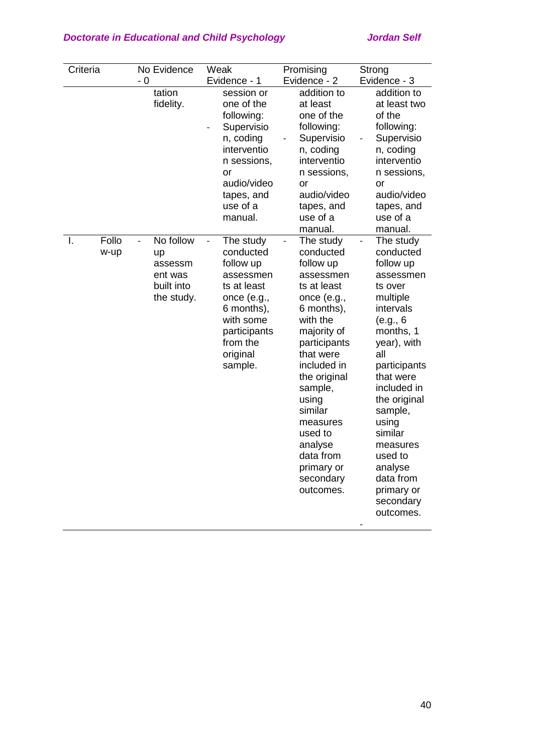| Criteria            | No Evidence                                                                                   | Weak                                                                                                                                                                          | Promising                                                                                                                                                                                                                                                                                                 | Strong                                                                                                                                                                                                                                                                                                                                            |
|---------------------|-----------------------------------------------------------------------------------------------|-------------------------------------------------------------------------------------------------------------------------------------------------------------------------------|-----------------------------------------------------------------------------------------------------------------------------------------------------------------------------------------------------------------------------------------------------------------------------------------------------------|---------------------------------------------------------------------------------------------------------------------------------------------------------------------------------------------------------------------------------------------------------------------------------------------------------------------------------------------------|
|                     | - 0                                                                                           | Evidence - 1                                                                                                                                                                  | Evidence - 2                                                                                                                                                                                                                                                                                              | Evidence - 3                                                                                                                                                                                                                                                                                                                                      |
|                     | tation<br>fidelity.                                                                           | session or<br>one of the<br>following:<br>Supervisio<br>n, coding<br>interventio<br>n sessions,<br><b>or</b><br>audio/video<br>tapes, and<br>use of a<br>manual.              | addition to<br>at least<br>one of the<br>following:<br>Supervisio<br>n, coding<br>interventio<br>n sessions,<br><b>or</b><br>audio/video<br>tapes, and<br>use of a<br>manual.                                                                                                                             | addition to<br>at least two<br>of the<br>following:<br>Supervisio<br>n, coding<br>interventio<br>n sessions,<br>or<br>audio/video<br>tapes, and<br>use of a<br>manual.                                                                                                                                                                            |
| Follo<br>Ι.<br>w-up | No follow<br>$\overline{\phantom{0}}$<br>up<br>assessm<br>ent was<br>built into<br>the study. | The study<br>$\frac{1}{2}$<br>conducted<br>follow up<br>assessmen<br>ts at least<br>once (e.g.,<br>6 months),<br>with some<br>participants<br>from the<br>original<br>sample. | The study<br>conducted<br>follow up<br>assessmen<br>ts at least<br>once (e.g.,<br>6 months),<br>with the<br>majority of<br>participants<br>that were<br>included in<br>the original<br>sample,<br>using<br>similar<br>measures<br>used to<br>analyse<br>data from<br>primary or<br>secondary<br>outcomes. | The study<br>$\overline{\phantom{0}}$<br>conducted<br>follow up<br>assessmen<br>ts over<br>multiple<br>intervals<br>(e.g., 6<br>months, 1<br>year), with<br>all<br>participants<br>that were<br>included in<br>the original<br>sample,<br>using<br>similar<br>measures<br>used to<br>analyse<br>data from<br>primary or<br>secondary<br>outcomes. |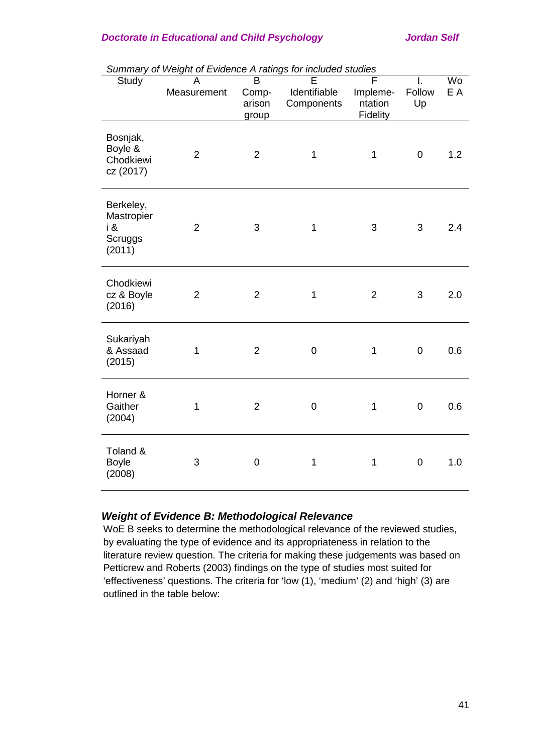|                                                     | Suriniary or Weight of Evidence A railigs for included studies<br>A | $\overline{\mathsf{B}}$ | E            | F              | I.          | Wo  |
|-----------------------------------------------------|---------------------------------------------------------------------|-------------------------|--------------|----------------|-------------|-----|
| Study                                               | Measurement                                                         | Comp-                   | Identifiable | Impleme-       | Follow      | E A |
|                                                     |                                                                     | arison                  | Components   | ntation        | Up          |     |
|                                                     |                                                                     | group                   |              | Fidelity       |             |     |
| Bosnjak,<br>Boyle &<br>Chodkiewi<br>cz (2017)       | $\overline{2}$                                                      | $\overline{2}$          | 1            | 1              | $\mathbf 0$ | 1.2 |
| Berkeley,<br>Mastropier<br>i &<br>Scruggs<br>(2011) | $\overline{2}$                                                      | 3                       | 1            | 3              | 3           | 2.4 |
| Chodkiewi<br>cz & Boyle<br>(2016)                   | $\overline{2}$                                                      | $\overline{2}$          | 1            | $\overline{2}$ | 3           | 2.0 |
| Sukariyah<br>& Assaad<br>(2015)                     | 1                                                                   | $\overline{2}$          | $\mathbf 0$  | 1              | $\mathbf 0$ | 0.6 |
| Horner &<br>Gaither<br>(2004)                       | 1                                                                   | $\overline{2}$          | $\mathbf 0$  | 1              | $\mathbf 0$ | 0.6 |
| Toland &<br><b>Boyle</b><br>(2008)                  | 3                                                                   | $\overline{0}$          | 1            | 1              | $\mathbf 0$ | 1.0 |

*Summary of Weight of Evidence A ratings for included studies*

# *Weight of Evidence B: Methodological Relevance*

WoE B seeks to determine the methodological relevance of the reviewed studies, by evaluating the type of evidence and its appropriateness in relation to the literature review question. The criteria for making these judgements was based on Petticrew and Roberts (2003) findings on the type of studies most suited for 'effectiveness' questions. The criteria for 'low (1), 'medium' (2) and 'high' (3) are outlined in the table below: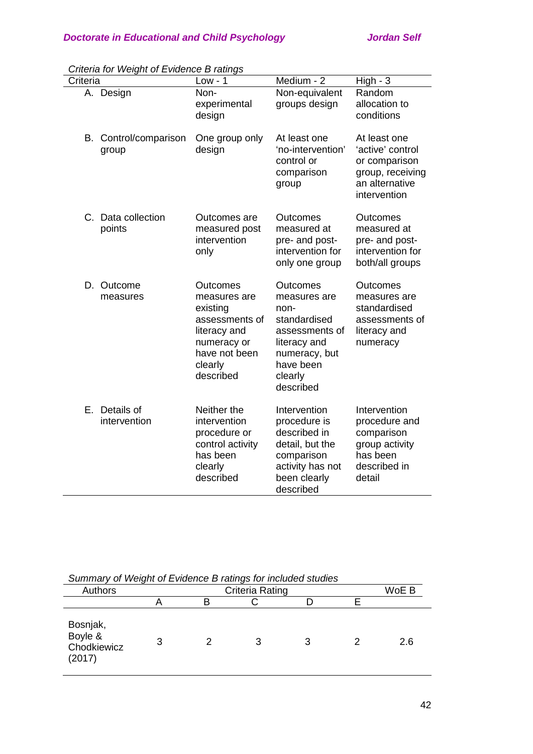| Criteria |                                | $Low - 1$                                                                                                                      | Medium - 2                                                                                                                               | $High - 3$                                                                                              |  |
|----------|--------------------------------|--------------------------------------------------------------------------------------------------------------------------------|------------------------------------------------------------------------------------------------------------------------------------------|---------------------------------------------------------------------------------------------------------|--|
|          | A. Design                      | Non-<br>experimental<br>design                                                                                                 | Non-equivalent<br>groups design                                                                                                          | Random<br>allocation to<br>conditions                                                                   |  |
|          | B. Control/comparison<br>group | One group only<br>design                                                                                                       | At least one<br>'no-intervention'<br>control or<br>comparison<br>group                                                                   | At least one<br>'active' control<br>or comparison<br>group, receiving<br>an alternative<br>intervention |  |
|          | C. Data collection<br>points   | Outcomes are<br>measured post<br>intervention<br>only                                                                          | Outcomes<br>measured at<br>pre- and post-<br>intervention for<br>only one group                                                          | Outcomes<br>measured at<br>pre- and post-<br>intervention for<br>both/all groups                        |  |
|          | D. Outcome<br>measures         | Outcomes<br>measures are<br>existing<br>assessments of<br>literacy and<br>numeracy or<br>have not been<br>clearly<br>described | Outcomes<br>measures are<br>non-<br>standardised<br>assessments of<br>literacy and<br>numeracy, but<br>have been<br>clearly<br>described | Outcomes<br>measures are<br>standardised<br>assessments of<br>literacy and<br>numeracy                  |  |
| Е.       | Details of<br>intervention     | Neither the<br>intervention<br>procedure or<br>control activity<br>has been<br>clearly<br>described                            | Intervention<br>procedure is<br>described in<br>detail, but the<br>comparison<br>activity has not<br>been clearly<br>described           | Intervention<br>procedure and<br>comparison<br>group activity<br>has been<br>described in<br>detail     |  |

| Criteria for Weight of Evidence B ratings |  |
|-------------------------------------------|--|
|-------------------------------------------|--|

| Summary or weight of Evidence B failings for included studies |                          |  |   |  |  |     |
|---------------------------------------------------------------|--------------------------|--|---|--|--|-----|
| Authors                                                       | Criteria Rating<br>WoE B |  |   |  |  |     |
|                                                               |                          |  |   |  |  |     |
| Bosnjak,<br>Boyle &<br>Chodkiewicz<br>(2017)                  | 3                        |  | 3 |  |  | 2.6 |

*Summary of Weight of Evidence B ratings for included studies*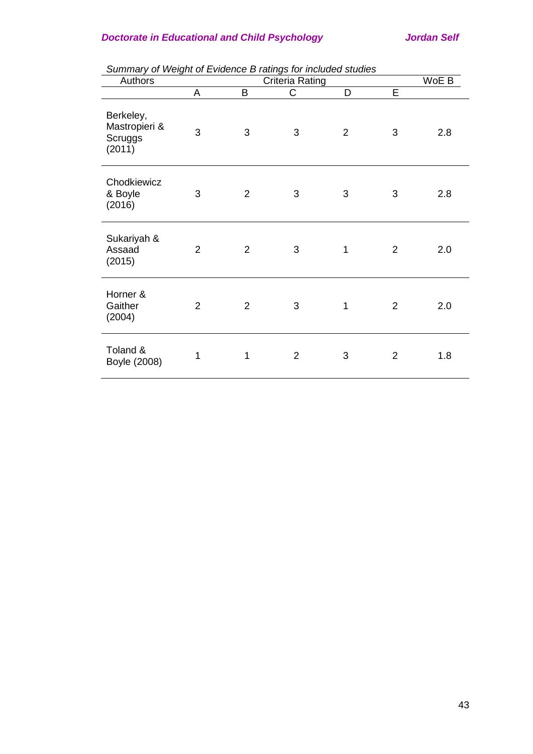| Authors                                         | Criteria Rating |                |                | WoE B          |                |     |
|-------------------------------------------------|-----------------|----------------|----------------|----------------|----------------|-----|
|                                                 | A               | B              | C              | D              | Ē              |     |
| Berkeley,<br>Mastropieri &<br>Scruggs<br>(2011) | 3               | 3              | 3              | $\overline{2}$ | 3              | 2.8 |
| Chodkiewicz<br>& Boyle<br>(2016)                | 3               | $\overline{2}$ | 3              | $\mathsf 3$    | 3              | 2.8 |
| Sukariyah &<br>Assaad<br>(2015)                 | $\overline{2}$  | $\overline{2}$ | 3              | 1              | $\overline{2}$ | 2.0 |
| Horner &<br>Gaither<br>(2004)                   | $\overline{2}$  | $\overline{2}$ | 3              | 1              | $\overline{2}$ | 2.0 |
| Toland &<br>Boyle (2008)                        | 1               | 1              | $\overline{2}$ | 3              | $\overline{2}$ | 1.8 |

*Summary of Weight of Evidence B ratings for included studies*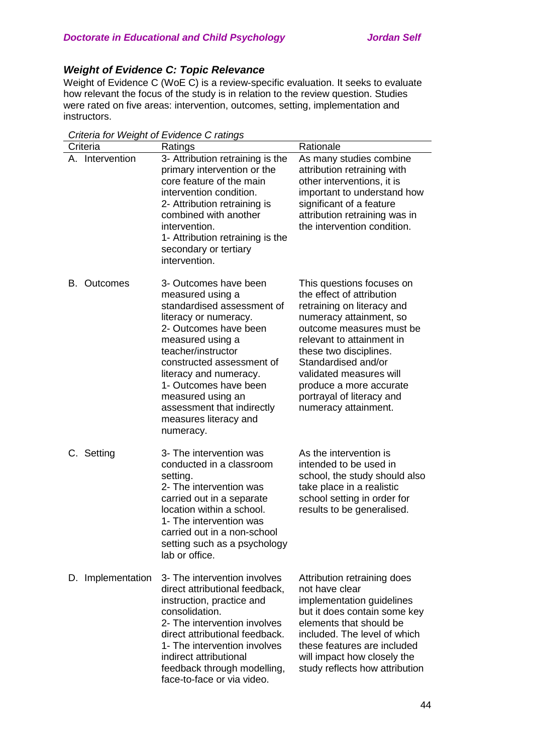# *Weight of Evidence C: Topic Relevance*

Weight of Evidence C (WoE C) is a review-specific evaluation. It seeks to evaluate how relevant the focus of the study is in relation to the review question. Studies were rated on five areas: intervention, outcomes, setting, implementation and instructors.

| Criteria           | Ratings                                                                                                                                                                                                                                                                                                                                      | Rationale                                                                                                                                                                                                                                                                                                                            |
|--------------------|----------------------------------------------------------------------------------------------------------------------------------------------------------------------------------------------------------------------------------------------------------------------------------------------------------------------------------------------|--------------------------------------------------------------------------------------------------------------------------------------------------------------------------------------------------------------------------------------------------------------------------------------------------------------------------------------|
| A. Intervention    | 3- Attribution retraining is the<br>primary intervention or the<br>core feature of the main<br>intervention condition.<br>2- Attribution retraining is<br>combined with another<br>intervention.<br>1- Attribution retraining is the<br>secondary or tertiary<br>intervention.                                                               | As many studies combine<br>attribution retraining with<br>other interventions, it is<br>important to understand how<br>significant of a feature<br>attribution retraining was in<br>the intervention condition.                                                                                                                      |
| <b>B.</b> Outcomes | 3- Outcomes have been<br>measured using a<br>standardised assessment of<br>literacy or numeracy.<br>2- Outcomes have been<br>measured using a<br>teacher/instructor<br>constructed assessment of<br>literacy and numeracy.<br>1- Outcomes have been<br>measured using an<br>assessment that indirectly<br>measures literacy and<br>numeracy. | This questions focuses on<br>the effect of attribution<br>retraining on literacy and<br>numeracy attainment, so<br>outcome measures must be<br>relevant to attainment in<br>these two disciplines.<br>Standardised and/or<br>validated measures will<br>produce a more accurate<br>portrayal of literacy and<br>numeracy attainment. |
| C. Setting         | 3- The intervention was<br>conducted in a classroom<br>setting.<br>2- The intervention was<br>carried out in a separate<br>location within a school.<br>1- The intervention was<br>carried out in a non-school<br>setting such as a psychology<br>lab or office.                                                                             | As the intervention is<br>intended to be used in<br>school, the study should also<br>take place in a realistic<br>school setting in order for<br>results to be generalised.                                                                                                                                                          |
| D. Implementation  | 3- The intervention involves<br>direct attributional feedback,<br>instruction, practice and<br>consolidation.<br>2- The intervention involves<br>direct attributional feedback.<br>1- The intervention involves<br>indirect attributional<br>feedback through modelling,<br>face-to-face or via video.                                       | Attribution retraining does<br>not have clear<br>implementation guidelines<br>but it does contain some key<br>elements that should be<br>included. The level of which<br>these features are included<br>will impact how closely the<br>study reflects how attribution                                                                |

*Criteria for Weight of Evidence C ratings*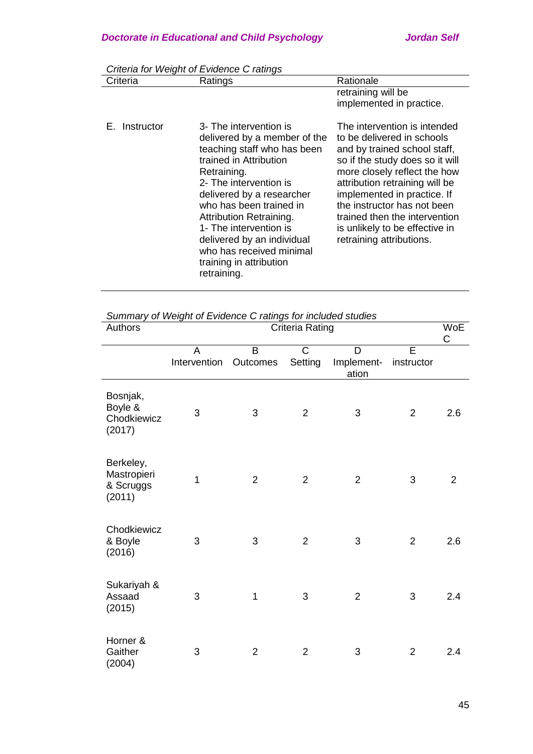|               | Chiena for weight of Evidence C ratings                                                                                                                                                                                                                                                                                                                                   |                                                                                                                                                                                                                                                                                                                                                              |
|---------------|---------------------------------------------------------------------------------------------------------------------------------------------------------------------------------------------------------------------------------------------------------------------------------------------------------------------------------------------------------------------------|--------------------------------------------------------------------------------------------------------------------------------------------------------------------------------------------------------------------------------------------------------------------------------------------------------------------------------------------------------------|
| Criteria      | Ratings                                                                                                                                                                                                                                                                                                                                                                   | Rationale                                                                                                                                                                                                                                                                                                                                                    |
|               |                                                                                                                                                                                                                                                                                                                                                                           | retraining will be<br>implemented in practice.                                                                                                                                                                                                                                                                                                               |
| E. Instructor | 3- The intervention is<br>delivered by a member of the<br>teaching staff who has been<br>trained in Attribution<br>Retraining.<br>2- The intervention is<br>delivered by a researcher<br>who has been trained in<br>Attribution Retraining.<br>1- The intervention is<br>delivered by an individual<br>who has received minimal<br>training in attribution<br>retraining. | The intervention is intended<br>to be delivered in schools<br>and by trained school staff,<br>so if the study does so it will<br>more closely reflect the how<br>attribution retraining will be<br>implemented in practice. If<br>the instructor has not been<br>trained then the intervention<br>is unlikely to be effective in<br>retraining attributions. |

*Criteria for Weight of Evidence C ratings*

|         | Summary of Weight of Evidence C ratings for included studies |      |
|---------|--------------------------------------------------------------|------|
| Authore | Critoria Ratina                                              | M/oF |

| Authors                                         | Criteria Rating   |                |                         | WoE<br>C                 |                 |                |
|-------------------------------------------------|-------------------|----------------|-------------------------|--------------------------|-----------------|----------------|
|                                                 | A<br>Intervention | B<br>Outcomes  | $\mathsf{C}$<br>Setting | D<br>Implement-<br>ation | E<br>instructor |                |
| Bosnjak,<br>Boyle &<br>Chodkiewicz<br>(2017)    | 3                 | 3              | $\overline{2}$          | $\sqrt{3}$               | $\overline{2}$  | 2.6            |
| Berkeley,<br>Mastropieri<br>& Scruggs<br>(2011) | $\overline{1}$    | $\overline{2}$ | $\overline{2}$          | $\overline{2}$           | 3               | $\overline{2}$ |
| Chodkiewicz<br>& Boyle<br>(2016)                | 3                 | 3              | $\overline{2}$          | 3                        | $\overline{2}$  | 2.6            |
| Sukariyah &<br>Assaad<br>(2015)                 | 3                 | 1              | 3                       | $\overline{2}$           | 3               | 2.4            |
| Horner &<br>Gaither<br>(2004)                   | 3                 | $\overline{2}$ | $\overline{2}$          | 3                        | $\overline{2}$  | 2.4            |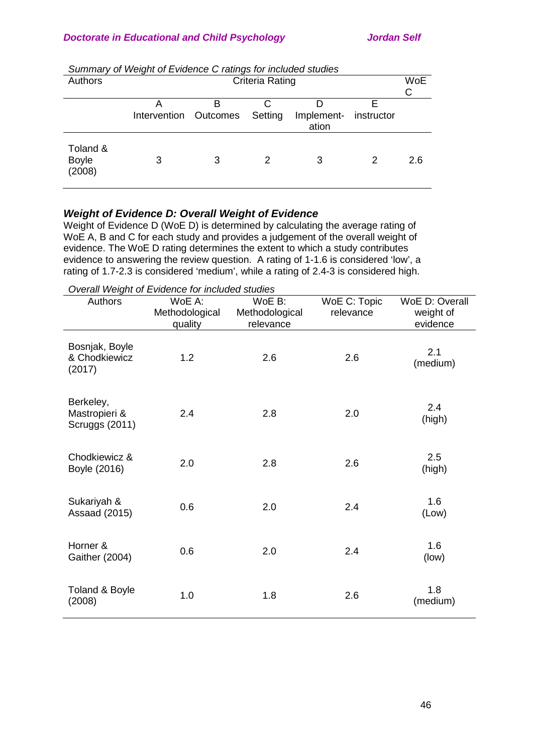|                                    | <u>Udiningly of Wolght of Evidence O radigo for included stadies</u> |   |                        |                                |   |            |
|------------------------------------|----------------------------------------------------------------------|---|------------------------|--------------------------------|---|------------|
| Authors                            |                                                                      |   | <b>Criteria Rating</b> |                                |   | <b>WoE</b> |
|                                    |                                                                      |   |                        |                                |   | С          |
|                                    | А<br>Intervention Outcomes                                           |   | Setting                | Implement- instructor<br>ation |   |            |
| Toland &<br><b>Boyle</b><br>(2008) | 3                                                                    | 3 | 2                      | 3                              | 2 | 2.6        |

# *Weight of Evidence D: Overall Weight of Evidence*

Weight of Evidence D (WoE D) is determined by calculating the average rating of WoE A, B and C for each study and provides a judgement of the overall weight of evidence. The WoE D rating determines the extent to which a study contributes evidence to answering the review question. A rating of 1-1.6 is considered 'low', a rating of 1.7-2.3 is considered 'medium', while a rating of 2.4-3 is considered high.

*Overall Weight of Evidence for included studies*

| Authors                                      | WoE A:<br>Methodological<br>quality | WoE B:<br>Methodological<br>relevance | WoE C: Topic<br>relevance | WoE D: Overall<br>weight of<br>evidence |
|----------------------------------------------|-------------------------------------|---------------------------------------|---------------------------|-----------------------------------------|
| Bosnjak, Boyle<br>& Chodkiewicz<br>(2017)    | 1.2                                 | 2.6                                   | 2.6                       | 2.1<br>(medium)                         |
| Berkeley,<br>Mastropieri &<br>Scruggs (2011) | 2.4                                 | 2.8                                   | 2.0                       | 2.4<br>(high)                           |
| Chodkiewicz &<br>Boyle (2016)                | 2.0                                 | 2.8                                   | 2.6                       | 2.5<br>(high)                           |
| Sukariyah &<br><b>Assaad (2015)</b>          | 0.6                                 | 2.0                                   | 2.4                       | 1.6<br>(Low)                            |
| Horner &<br><b>Gaither (2004)</b>            | 0.6                                 | 2.0                                   | 2.4                       | 1.6<br>(low)                            |
| Toland & Boyle<br>(2008)                     | 1.0                                 | 1.8                                   | 2.6                       | 1.8<br>(medium)                         |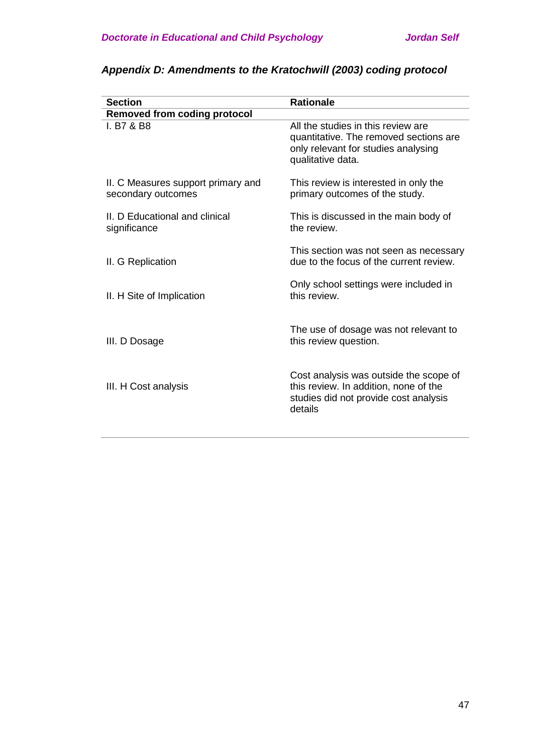| <b>Section</b>                                           | <b>Rationale</b>                                                                                                                         |
|----------------------------------------------------------|------------------------------------------------------------------------------------------------------------------------------------------|
| <b>Removed from coding protocol</b>                      |                                                                                                                                          |
| I. B7 & B8                                               | All the studies in this review are<br>quantitative. The removed sections are<br>only relevant for studies analysing<br>qualitative data. |
| II. C Measures support primary and<br>secondary outcomes | This review is interested in only the<br>primary outcomes of the study.                                                                  |
| II. D Educational and clinical<br>significance           | This is discussed in the main body of<br>the review.                                                                                     |
| II. G Replication                                        | This section was not seen as necessary<br>due to the focus of the current review.                                                        |
| II. H Site of Implication                                | Only school settings were included in<br>this review.                                                                                    |
| III. D Dosage                                            | The use of dosage was not relevant to<br>this review question.                                                                           |
| III. H Cost analysis                                     | Cost analysis was outside the scope of<br>this review. In addition, none of the<br>studies did not provide cost analysis<br>details      |

# *Appendix D: Amendments to the Kratochwill (2003) coding protocol*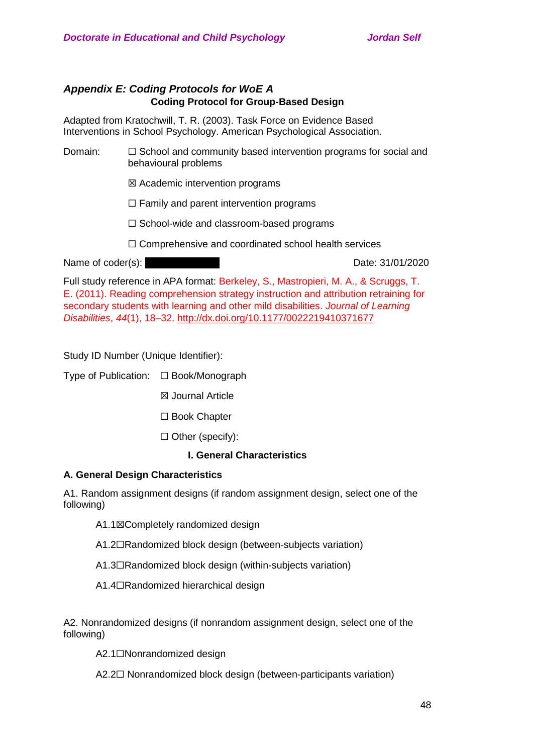# *Appendix E: Coding Protocols for WoE A* **Coding Protocol for Group-Based Design**

Adapted from Kratochwill, T. R. (2003). Task Force on Evidence Based Interventions in School Psychology. American Psychological Association.

- Domain: □ School and community based intervention programs for social and behavioural problems
	- ☒ Academic intervention programs
	- $\Box$  Family and parent intervention programs
	- ☐ School-wide and classroom-based programs
	- ☐ Comprehensive and coordinated school health services

Name of coder(s): …………. ……… Date: 31/01/2020

Full study reference in APA format: Berkeley, S., Mastropieri, M. A., & Scruggs, T. E. (2011). Reading comprehension strategy instruction and attribution retraining for secondary students with learning and other mild disabilities. *Journal of Learning Disabilities*, *44*(1), 18–32.<http://dx.doi.org/10.1177/0022219410371677>

Study ID Number (Unique Identifier):

Type of Publication: ☐ Book/Monograph

- ☒ Journal Article
- ☐ Book Chapter
- ☐ Other (specify):

# **I. General Characteristics**

## **A. General Design Characteristics**

A1. Random assignment designs (if random assignment design, select one of the following)

- A1.1⊠Completely randomized design
- A1.2☐Randomized block design (between-subjects variation)
- A1.3☐Randomized block design (within-subjects variation)
- A1.4☐Randomized hierarchical design

A2. Nonrandomized designs (if nonrandom assignment design, select one of the following)

A2.1☐Nonrandomized design

A2.2□ Nonrandomized block design (between-participants variation)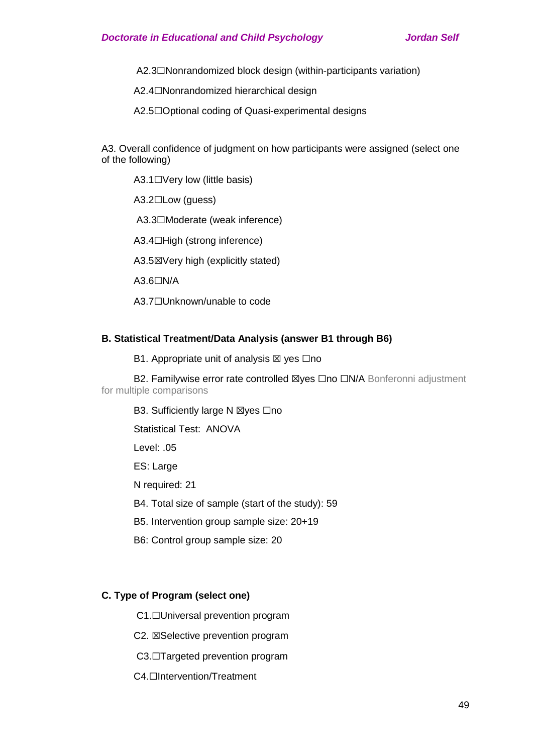A2.3☐Nonrandomized block design (within-participants variation)

A2.4☐Nonrandomized hierarchical design

A2.5□Optional coding of Quasi-experimental designs

A3. Overall confidence of judgment on how participants were assigned (select one of the following)

A3.1□Very low (little basis)

A3.2☐Low (guess)

A3.3☐Moderate (weak inference)

A3.4□High (strong inference)

A3.5☒Very high (explicitly stated)

A3.6☐N/A

A3.7☐Unknown/unable to code

## **B. Statistical Treatment/Data Analysis (answer B1 through B6)**

B1. Appropriate unit of analysis  $\boxtimes$  yes  $\Box$ no

B2. Familywise error rate controlled ⊠yes □no □N/A Bonferonni adjustment for multiple comparisons

B3. Sufficiently large N ⊠yes □no

Statistical Test: ANOVA

Level: 05

ES: Large

N required: 21

B4. Total size of sample (start of the study): 59

B5. Intervention group sample size: 20+19

B6: Control group sample size: 20

## **C. Type of Program (select one)**

C1.☐Universal prevention program

C2. ☒Selective prevention program

C3.□Targeted prevention program

C4.<del>□Intervention/Treatment</del>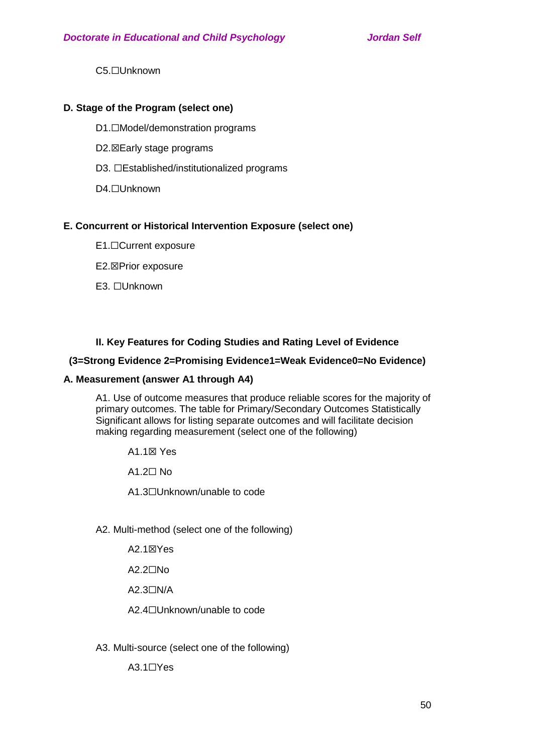C5.☐Unknown

# **D. Stage of the Program (select one)**

- D1.□Model/demonstration programs
- D2.⊠Early stage programs
- D3. □Established/institutionalized programs
- D4.☐Unknown

# **E. Concurrent or Historical Intervention Exposure (select one)**

- E1.☐Current exposure
- E2.☒Prior exposure
- E3. ☐Unknown

# **II. Key Features for Coding Studies and Rating Level of Evidence**

# **(3=Strong Evidence 2=Promising Evidence1=Weak Evidence0=No Evidence)**

## **A. Measurement (answer A1 through A4)**

A1. Use of outcome measures that produce reliable scores for the majority of primary outcomes. The table for Primary/Secondary Outcomes Statistically Significant allows for listing separate outcomes and will facilitate decision making regarding measurement (select one of the following)

A1.1☒ Yes

A1.2☐ No

A1.3☐Unknown/unable to code

A2. Multi-method (select one of the following)

- A2.1☒Yes
- A2.2☐No
- A2.3☐N/A

A2.4☐Unknown/unable to code

A3. Multi-source (select one of the following)

A3.1☐Yes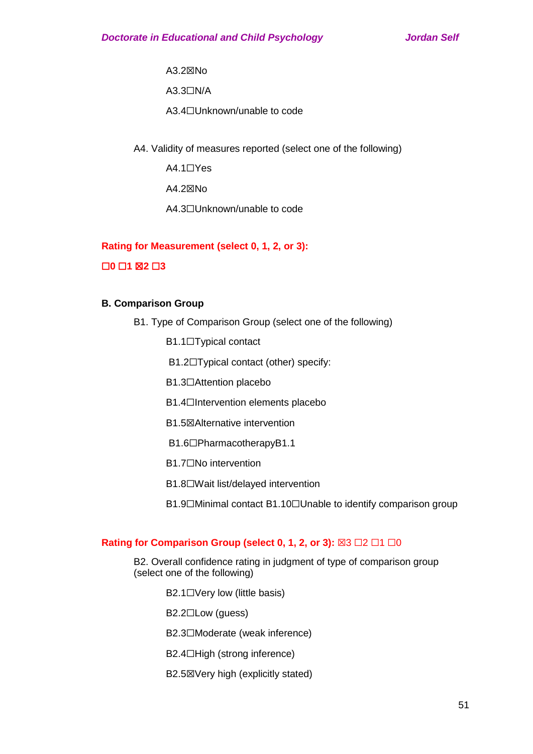A3.2☒No

A3.3☐N/A

A3.4☐Unknown/unable to code

A4. Validity of measures reported (select one of the following)

A4.1☐Yes

A4.2☒No

A4.3☐Unknown/unable to code

## **Rating for Measurement (select 0, 1, 2, or 3):**

## ☐**0** ☐**1** ☒**2** ☐**3**

## **B. Comparison Group**

- B1. Type of Comparison Group (select one of the following)
	- B1.1☐Typical contact
	- B1.2☐Typical contact (other) specify:
	- B1.3☐Attention placebo
	- B1.4☐Intervention elements placebo
	- **B1.5**⊠Alternative intervention
	- B1.6☐PharmacotherapyB1.1
	- B1.7☐No intervention
	- B1.8☐Wait list/delayed intervention
	- B1.9□Minimal contact B1.10□Unable to identify comparison group

# **Rating for Comparison Group (select 0, 1, 2, or 3):** ⊠3 □2 □1 □0

- B2. Overall confidence rating in judgment of type of comparison group (select one of the following)
	- B2.1□Very low (little basis)
	- B2.2☐Low (guess)
	- B2.3☐Moderate (weak inference)
	- B2.4☐High (strong inference)
	- B2.5☒Very high (explicitly stated)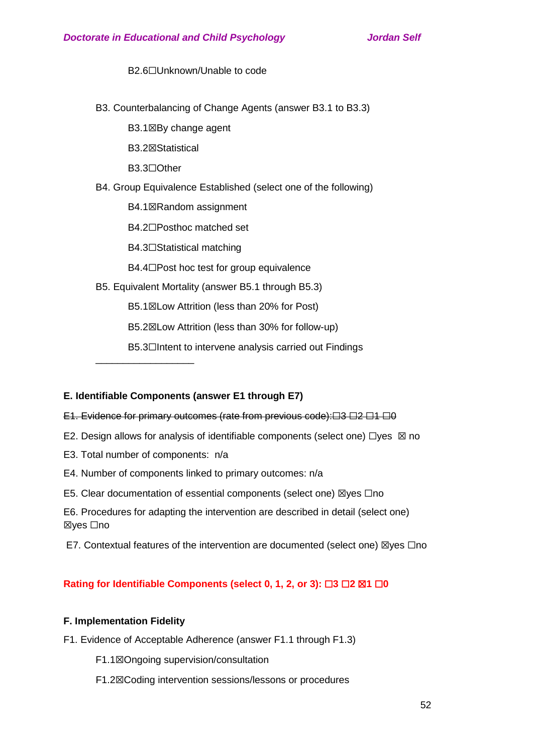B<sub>2.6</sub>□Unknown/Unable to code

B3. Counterbalancing of Change Agents (answer B3.1 to B3.3)

B3.1⊠By change agent

B3.2☒Statistical

B3.3☐Other

B4. Group Equivalence Established (select one of the following)

B4.1☒Random assignment

B4.2☐Posthoc matched set

B4.3☐Statistical matching

B4.4□Post hoc test for group equivalence

B5. Equivalent Mortality (answer B5.1 through B5.3)

B5.1☒Low Attrition (less than 20% for Post)

B5.2☒Low Attrition (less than 30% for follow-up)

B5.3□Intent to intervene analysis carried out Findings

## **E. Identifiable Components (answer E1 through E7)**

## E1. Evidence for primary outcomes (rate from previous code):□3 □2 □1 □0

- E2. Design allows for analysis of identifiable components (select one)  $\Box$ yes  $\boxtimes$  no
- E3. Total number of components: n/a

\_\_\_\_\_\_\_\_\_\_\_\_\_\_\_\_\_\_

- E4. Number of components linked to primary outcomes: n/a
- E5. Clear documentation of essential components (select one) ⊠yes  $□$ no

E6. Procedures for adapting the intervention are described in detail (select one) ☒yes ☐no

E7. Contextual features of the intervention are documented (select one)  $\boxtimes$ yes  $\Box$ no

## **Rating for Identifiable Components (select 0, 1, 2, or 3): □3 □2 ⊠1 □0**

## **F. Implementation Fidelity**

F1. Evidence of Acceptable Adherence (answer F1.1 through F1.3)

F1.1☒Ongoing supervision/consultation

F1.2☒Coding intervention sessions/lessons or procedures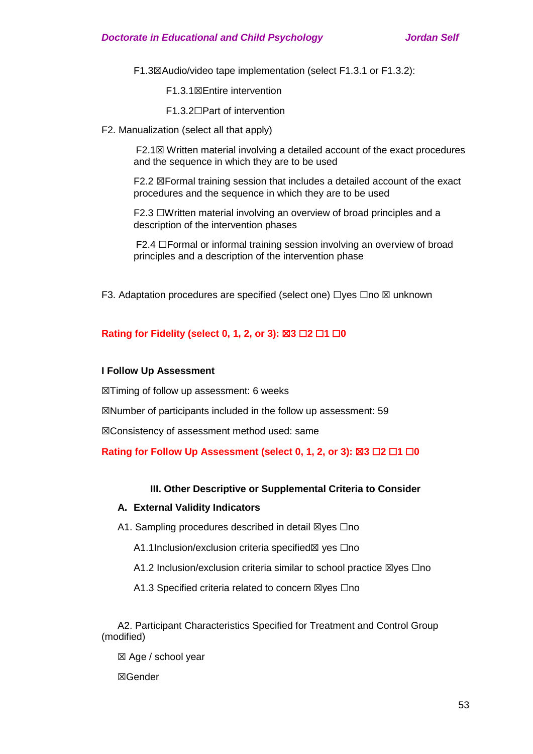F1.3☒Audio/video tape implementation (select F1.3.1 or F1.3.2):

F1.3.1☒Entire intervention

F1.3.2☐Part of intervention

F2. Manualization (select all that apply)

F2.1☒ Written material involving a detailed account of the exact procedures and the sequence in which they are to be used

F2.2  $\boxtimes$  Formal training session that includes a detailed account of the exact procedures and the sequence in which they are to be used

F2.3 ☐Written material involving an overview of broad principles and a description of the intervention phases

F2.4 ☐Formal or informal training session involving an overview of broad principles and a description of the intervention phase

F3. Adaptation procedures are specified (select one) □yes □no ⊠ unknown

## **Rating for Fidelity (select 0, 1, 2, or 3): ⊠3 □2 □1 □0**

## **I Follow Up Assessment**

☒Timing of follow up assessment: 6 weeks

☒Number of participants included in the follow up assessment: 59

☒Consistency of assessment method used: same

## **Rating for Follow Up Assessment (select 0, 1, 2, or 3): ⊠3 □2 □1 □0**

## **III. Other Descriptive or Supplemental Criteria to Consider**

## **A. External Validity Indicators**

A1. Sampling procedures described in detail ⊠yes □no

A1.1Inclusion/exclusion criteria specified⊠ yes  $□$ no

A1.2 Inclusion/exclusion criteria similar to school practice  $\boxtimes$ yes  $\Box$ no

A1.3 Specified criteria related to concern ⊠yes □no

A2. Participant Characteristics Specified for Treatment and Control Group (modified)

☒ Age / school year

☒Gender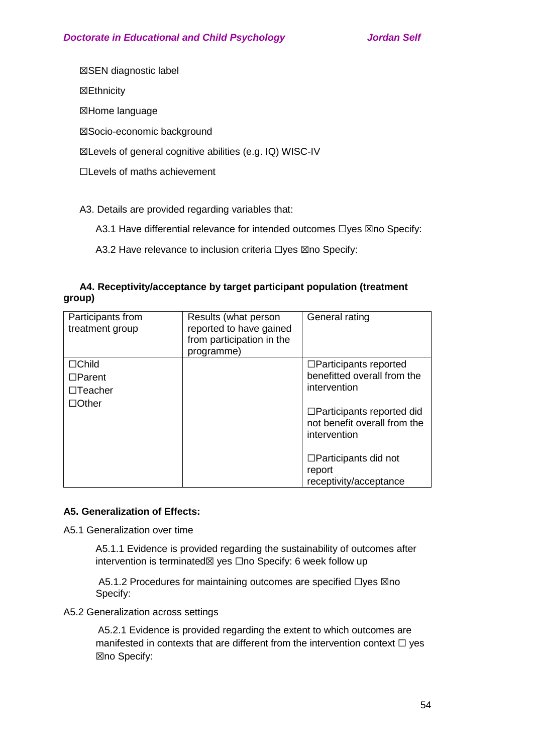☒SEN diagnostic label

☒Ethnicity

☒Home language

☒Socio-economic background

☒Levels of general cognitive abilities (e.g. IQ) WISC-IV

☐Levels of maths achievement

A3. Details are provided regarding variables that:

A3.1 Have differential relevance for intended outcomes □yes ⊠no Specify:

A3.2 Have relevance to inclusion criteria □yes ⊠no Specify:

# **A4. Receptivity/acceptance by target participant population (treatment group)**

| Participants from<br>treatment group                            | Results (what person<br>reported to have gained<br>from participation in the<br>programme) | General rating                                                                                                                                                                                                                     |
|-----------------------------------------------------------------|--------------------------------------------------------------------------------------------|------------------------------------------------------------------------------------------------------------------------------------------------------------------------------------------------------------------------------------|
| $\Box$ Child<br>$\Box$ Parent<br>$\Box$ Teacher<br>$\Box$ Other |                                                                                            | $\Box$ Participants reported<br>benefitted overall from the<br>intervention<br>$\Box$ Participants reported did<br>not benefit overall from the<br>intervention<br>$\Box$ Participants did not<br>report<br>receptivity/acceptance |

# **A5. Generalization of Effects:**

A5.1 Generalization over time

A5.1.1 Evidence is provided regarding the sustainability of outcomes after intervention is terminated⊠ yes □no Specify: 6 week follow up

A5.1.2 Procedures for maintaining outcomes are specified □yes ⊠no Specify:

A5.2 Generalization across settings

A5.2.1 Evidence is provided regarding the extent to which outcomes are manifested in contexts that are different from the intervention context  $\Box$  yes ☒no Specify: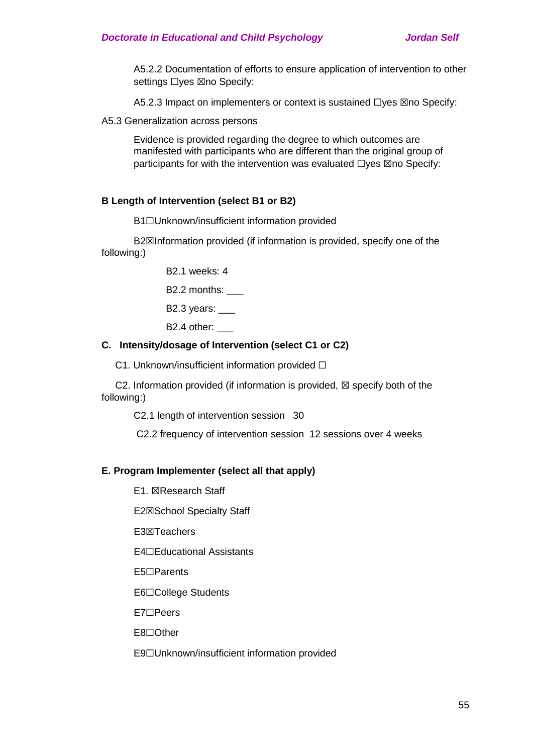A5.2.2 Documentation of efforts to ensure application of intervention to other settings □yes ⊠no Specify:

A5.2.3 Impact on implementers or context is sustained □yes ⊠no Specify:

A5.3 Generalization across persons

Evidence is provided regarding the degree to which outcomes are manifested with participants who are different than the original group of participants for with the intervention was evaluated  $\Box$ yes  $\boxtimes$ no Specify:

## **B Length of Intervention (select B1 or B2)**

**B1**□Unknown/insufficient information provided

B2 $\boxtimes$ Information provided (if information is provided, specify one of the following:)

B2.1 weeks: 4

B2.2 months:

B2.3 years:

B2.4 other:

## **C. Intensity/dosage of Intervention (select C1 or C2)**

C1. Unknown/insufficient information provided □

C2. Information provided (if information is provided,  $\boxtimes$  specify both of the following:)

C2.1 length of intervention session 30

C2.2 frequency of intervention session 12 sessions over 4 weeks

## **E. Program Implementer (select all that apply)**

E1. ☒Research Staff

E2☒School Specialty Staff

E3☒Teachers

E4☐Educational Assistants

E5☐Parents

E6☐College Students

E7☐Peers

E8☐Other

E9☐Unknown/insufficient information provided